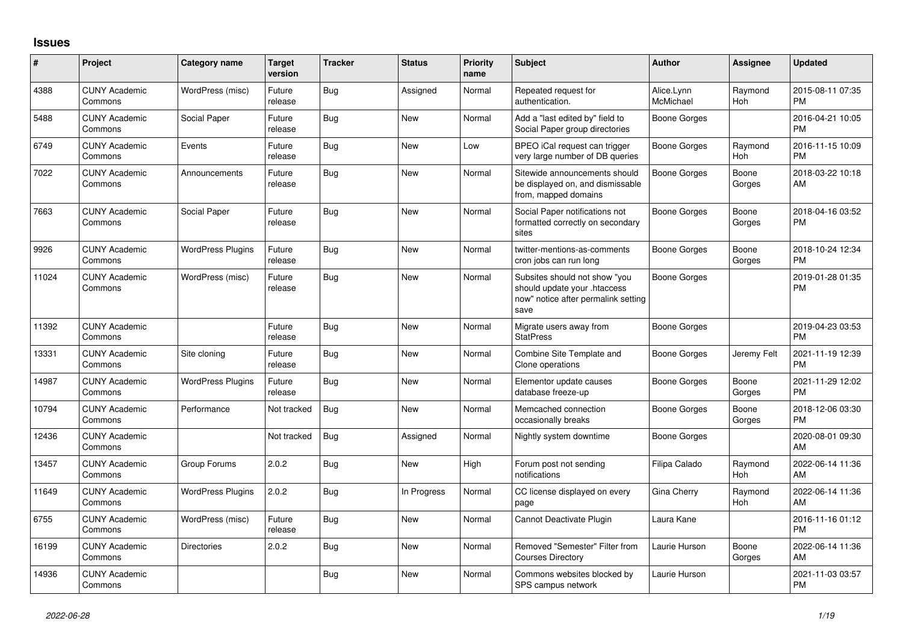## **Issues**

| #     | Project                         | Category name            | <b>Target</b><br>version | <b>Tracker</b> | <b>Status</b> | Priority<br>name | <b>Subject</b>                                                                                               | <b>Author</b>           | <b>Assignee</b> | <b>Updated</b>                |
|-------|---------------------------------|--------------------------|--------------------------|----------------|---------------|------------------|--------------------------------------------------------------------------------------------------------------|-------------------------|-----------------|-------------------------------|
| 4388  | <b>CUNY Academic</b><br>Commons | WordPress (misc)         | Future<br>release        | <b>Bug</b>     | Assigned      | Normal           | Repeated request for<br>authentication.                                                                      | Alice.Lynn<br>McMichael | Raymond<br>Hoh  | 2015-08-11 07:35<br><b>PM</b> |
| 5488  | <b>CUNY Academic</b><br>Commons | Social Paper             | Future<br>release        | Bug            | <b>New</b>    | Normal           | Add a "last edited by" field to<br>Social Paper group directories                                            | Boone Gorges            |                 | 2016-04-21 10:05<br><b>PM</b> |
| 6749  | <b>CUNY Academic</b><br>Commons | Events                   | Future<br>release        | <b>Bug</b>     | <b>New</b>    | Low              | BPEO iCal request can trigger<br>very large number of DB queries                                             | <b>Boone Gorges</b>     | Raymond<br>Hoh  | 2016-11-15 10:09<br><b>PM</b> |
| 7022  | <b>CUNY Academic</b><br>Commons | Announcements            | Future<br>release        | <b>Bug</b>     | <b>New</b>    | Normal           | Sitewide announcements should<br>be displayed on, and dismissable<br>from, mapped domains                    | Boone Gorges            | Boone<br>Gorges | 2018-03-22 10:18<br>AM        |
| 7663  | <b>CUNY Academic</b><br>Commons | Social Paper             | Future<br>release        | Bug            | <b>New</b>    | Normal           | Social Paper notifications not<br>formatted correctly on secondary<br>sites                                  | Boone Gorges            | Boone<br>Gorges | 2018-04-16 03:52<br><b>PM</b> |
| 9926  | <b>CUNY Academic</b><br>Commons | <b>WordPress Plugins</b> | Future<br>release        | Bug            | New           | Normal           | twitter-mentions-as-comments<br>cron jobs can run long                                                       | Boone Gorges            | Boone<br>Gorges | 2018-10-24 12:34<br><b>PM</b> |
| 11024 | <b>CUNY Academic</b><br>Commons | WordPress (misc)         | Future<br>release        | <b>Bug</b>     | <b>New</b>    | Normal           | Subsites should not show "you<br>should update your .htaccess<br>now" notice after permalink setting<br>save | <b>Boone Gorges</b>     |                 | 2019-01-28 01:35<br><b>PM</b> |
| 11392 | <b>CUNY Academic</b><br>Commons |                          | Future<br>release        | <b>Bug</b>     | <b>New</b>    | Normal           | Migrate users away from<br><b>StatPress</b>                                                                  | Boone Gorges            |                 | 2019-04-23 03:53<br><b>PM</b> |
| 13331 | <b>CUNY Academic</b><br>Commons | Site cloning             | Future<br>release        | Bug            | New           | Normal           | Combine Site Template and<br>Clone operations                                                                | Boone Gorges            | Jeremy Felt     | 2021-11-19 12:39<br><b>PM</b> |
| 14987 | <b>CUNY Academic</b><br>Commons | <b>WordPress Plugins</b> | Future<br>release        | Bug            | New           | Normal           | Elementor update causes<br>database freeze-up                                                                | Boone Gorges            | Boone<br>Gorges | 2021-11-29 12:02<br><b>PM</b> |
| 10794 | <b>CUNY Academic</b><br>Commons | Performance              | Not tracked              | Bug            | <b>New</b>    | Normal           | Memcached connection<br>occasionally breaks                                                                  | Boone Gorges            | Boone<br>Gorges | 2018-12-06 03:30<br><b>PM</b> |
| 12436 | <b>CUNY Academic</b><br>Commons |                          | Not tracked              | Bug            | Assigned      | Normal           | Nightly system downtime                                                                                      | Boone Gorges            |                 | 2020-08-01 09:30<br>AM        |
| 13457 | <b>CUNY Academic</b><br>Commons | Group Forums             | 2.0.2                    | Bug            | New           | High             | Forum post not sending<br>notifications                                                                      | Filipa Calado           | Raymond<br>Hoh  | 2022-06-14 11:36<br>AM        |
| 11649 | <b>CUNY Academic</b><br>Commons | <b>WordPress Plugins</b> | 2.0.2                    | Bug            | In Progress   | Normal           | CC license displayed on every<br>page                                                                        | Gina Cherry             | Raymond<br>Hoh  | 2022-06-14 11:36<br>AM        |
| 6755  | <b>CUNY Academic</b><br>Commons | WordPress (misc)         | Future<br>release        | <b>Bug</b>     | <b>New</b>    | Normal           | Cannot Deactivate Plugin                                                                                     | Laura Kane              |                 | 2016-11-16 01:12<br><b>PM</b> |
| 16199 | <b>CUNY Academic</b><br>Commons | <b>Directories</b>       | 2.0.2                    | Bug            | <b>New</b>    | Normal           | Removed "Semester" Filter from<br><b>Courses Directory</b>                                                   | Laurie Hurson           | Boone<br>Gorges | 2022-06-14 11:36<br>AM        |
| 14936 | <b>CUNY Academic</b><br>Commons |                          |                          | Bug            | <b>New</b>    | Normal           | Commons websites blocked by<br>SPS campus network                                                            | Laurie Hurson           |                 | 2021-11-03 03:57<br><b>PM</b> |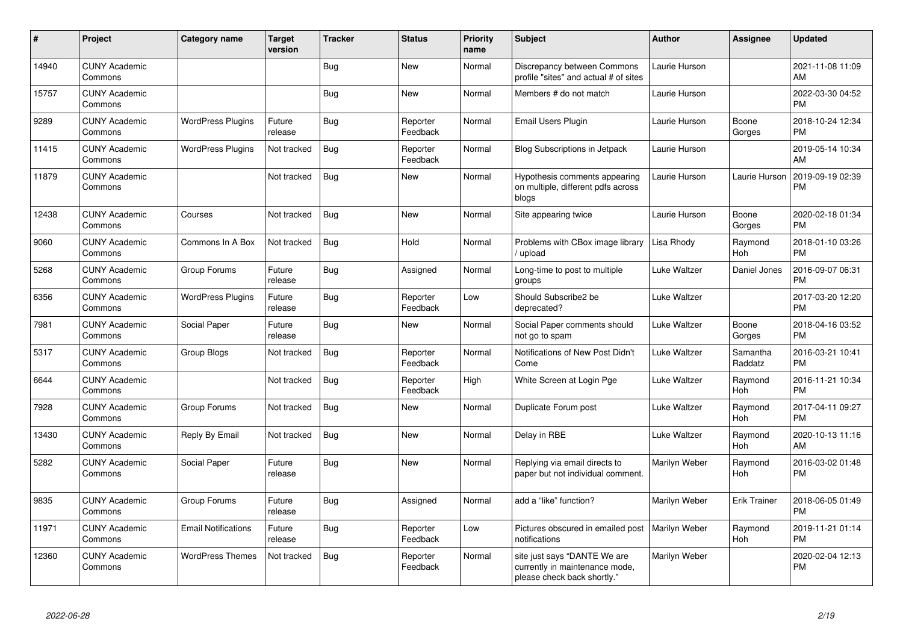| #     | Project                         | <b>Category name</b>       | <b>Target</b><br>version | <b>Tracker</b> | <b>Status</b>        | <b>Priority</b><br>name | <b>Subject</b>                                                                                | Author        | <b>Assignee</b>       | <b>Updated</b>                |
|-------|---------------------------------|----------------------------|--------------------------|----------------|----------------------|-------------------------|-----------------------------------------------------------------------------------------------|---------------|-----------------------|-------------------------------|
| 14940 | <b>CUNY Academic</b><br>Commons |                            |                          | Bug            | <b>New</b>           | Normal                  | Discrepancy between Commons<br>profile "sites" and actual # of sites                          | Laurie Hurson |                       | 2021-11-08 11:09<br>AM        |
| 15757 | <b>CUNY Academic</b><br>Commons |                            |                          | <b>Bug</b>     | New                  | Normal                  | Members # do not match                                                                        | Laurie Hurson |                       | 2022-03-30 04:52<br><b>PM</b> |
| 9289  | <b>CUNY Academic</b><br>Commons | <b>WordPress Plugins</b>   | Future<br>release        | <b>Bug</b>     | Reporter<br>Feedback | Normal                  | <b>Email Users Plugin</b>                                                                     | Laurie Hurson | Boone<br>Gorges       | 2018-10-24 12:34<br><b>PM</b> |
| 11415 | <b>CUNY Academic</b><br>Commons | <b>WordPress Plugins</b>   | Not tracked              | Bug            | Reporter<br>Feedback | Normal                  | <b>Blog Subscriptions in Jetpack</b>                                                          | Laurie Hurson |                       | 2019-05-14 10:34<br>AM        |
| 11879 | <b>CUNY Academic</b><br>Commons |                            | Not tracked              | Bug            | New                  | Normal                  | Hypothesis comments appearing<br>on multiple, different pdfs across<br>blogs                  | Laurie Hurson | Laurie Hurson         | 2019-09-19 02:39<br><b>PM</b> |
| 12438 | <b>CUNY Academic</b><br>Commons | Courses                    | Not tracked              | Bug            | <b>New</b>           | Normal                  | Site appearing twice                                                                          | Laurie Hurson | Boone<br>Gorges       | 2020-02-18 01:34<br><b>PM</b> |
| 9060  | <b>CUNY Academic</b><br>Commons | Commons In A Box           | Not tracked              | Bug            | Hold                 | Normal                  | Problems with CBox image library<br>upload                                                    | Lisa Rhody    | Raymond<br><b>Hoh</b> | 2018-01-10 03:26<br><b>PM</b> |
| 5268  | <b>CUNY Academic</b><br>Commons | Group Forums               | Future<br>release        | <b>Bug</b>     | Assigned             | Normal                  | Long-time to post to multiple<br>groups                                                       | Luke Waltzer  | Daniel Jones          | 2016-09-07 06:31<br><b>PM</b> |
| 6356  | <b>CUNY Academic</b><br>Commons | <b>WordPress Plugins</b>   | Future<br>release        | Bug            | Reporter<br>Feedback | Low                     | Should Subscribe2 be<br>deprecated?                                                           | Luke Waltzer  |                       | 2017-03-20 12:20<br><b>PM</b> |
| 7981  | <b>CUNY Academic</b><br>Commons | Social Paper               | Future<br>release        | Bug            | New                  | Normal                  | Social Paper comments should<br>not go to spam                                                | Luke Waltzer  | Boone<br>Gorges       | 2018-04-16 03:52<br><b>PM</b> |
| 5317  | <b>CUNY Academic</b><br>Commons | Group Blogs                | Not tracked              | <b>Bug</b>     | Reporter<br>Feedback | Normal                  | Notifications of New Post Didn't<br>Come                                                      | Luke Waltzer  | Samantha<br>Raddatz   | 2016-03-21 10:41<br><b>PM</b> |
| 6644  | <b>CUNY Academic</b><br>Commons |                            | Not tracked              | Bug            | Reporter<br>Feedback | High                    | White Screen at Login Pge                                                                     | Luke Waltzer  | Raymond<br>Hoh        | 2016-11-21 10:34<br><b>PM</b> |
| 7928  | <b>CUNY Academic</b><br>Commons | Group Forums               | Not tracked              | Bug            | <b>New</b>           | Normal                  | Duplicate Forum post                                                                          | Luke Waltzer  | Raymond<br>Hoh        | 2017-04-11 09:27<br><b>PM</b> |
| 13430 | <b>CUNY Academic</b><br>Commons | Reply By Email             | Not tracked              | <b>Bug</b>     | New                  | Normal                  | Delay in RBE                                                                                  | Luke Waltzer  | Raymond<br>Hoh        | 2020-10-13 11:16<br>AM        |
| 5282  | <b>CUNY Academic</b><br>Commons | Social Paper               | Future<br>release        | Bug            | New                  | Normal                  | Replying via email directs to<br>paper but not individual comment.                            | Marilyn Weber | Raymond<br>Hoh        | 2016-03-02 01:48<br><b>PM</b> |
| 9835  | <b>CUNY Academic</b><br>Commons | Group Forums               | Future<br>release        | Bug            | Assigned             | Normal                  | add a "like" function?                                                                        | Marilyn Weber | <b>Erik Trainer</b>   | 2018-06-05 01:49<br><b>PM</b> |
| 11971 | <b>CUNY Academic</b><br>Commons | <b>Email Notifications</b> | Future<br>release        | Bug            | Reporter<br>Feedback | Low                     | Pictures obscured in emailed post   Marilyn Weber<br>notifications                            |               | Raymond<br><b>Hoh</b> | 2019-11-21 01:14<br><b>PM</b> |
| 12360 | <b>CUNY Academic</b><br>Commons | <b>WordPress Themes</b>    | Not tracked              | <b>Bug</b>     | Reporter<br>Feedback | Normal                  | site just says "DANTE We are<br>currently in maintenance mode,<br>please check back shortly." | Marilyn Weber |                       | 2020-02-04 12:13<br><b>PM</b> |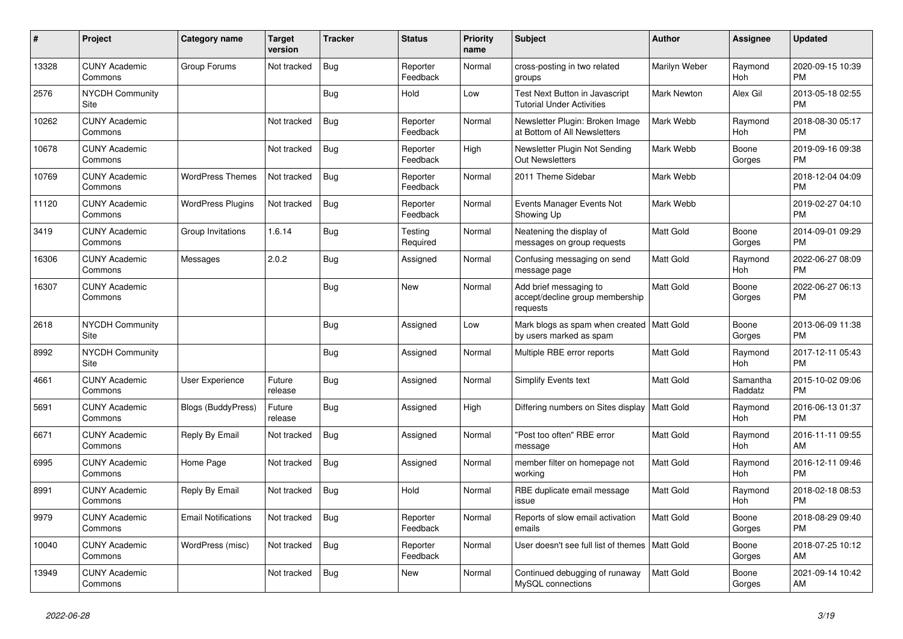| #     | <b>Project</b>                  | Category name              | Target<br>version | <b>Tracker</b> | <b>Status</b>        | <b>Priority</b><br>name | <b>Subject</b>                                                            | <b>Author</b>      | Assignee              | <b>Updated</b>                |
|-------|---------------------------------|----------------------------|-------------------|----------------|----------------------|-------------------------|---------------------------------------------------------------------------|--------------------|-----------------------|-------------------------------|
| 13328 | <b>CUNY Academic</b><br>Commons | Group Forums               | Not tracked       | <b>Bug</b>     | Reporter<br>Feedback | Normal                  | cross-posting in two related<br>groups                                    | Marilyn Weber      | Raymond<br><b>Hoh</b> | 2020-09-15 10:39<br><b>PM</b> |
| 2576  | <b>NYCDH Community</b><br>Site  |                            |                   | Bug            | Hold                 | Low                     | <b>Test Next Button in Javascript</b><br><b>Tutorial Under Activities</b> | <b>Mark Newton</b> | Alex Gil              | 2013-05-18 02:55<br><b>PM</b> |
| 10262 | <b>CUNY Academic</b><br>Commons |                            | Not tracked       | <b>Bug</b>     | Reporter<br>Feedback | Normal                  | Newsletter Plugin: Broken Image<br>at Bottom of All Newsletters           | Mark Webb          | Raymond<br>Hoh        | 2018-08-30 05:17<br><b>PM</b> |
| 10678 | <b>CUNY Academic</b><br>Commons |                            | Not tracked       | Bug            | Reporter<br>Feedback | High                    | Newsletter Plugin Not Sending<br><b>Out Newsletters</b>                   | Mark Webb          | Boone<br>Gorges       | 2019-09-16 09:38<br><b>PM</b> |
| 10769 | <b>CUNY Academic</b><br>Commons | <b>WordPress Themes</b>    | Not tracked       | Bug            | Reporter<br>Feedback | Normal                  | 2011 Theme Sidebar                                                        | Mark Webb          |                       | 2018-12-04 04:09<br><b>PM</b> |
| 11120 | <b>CUNY Academic</b><br>Commons | <b>WordPress Plugins</b>   | Not tracked       | Bug            | Reporter<br>Feedback | Normal                  | Events Manager Events Not<br>Showing Up                                   | Mark Webb          |                       | 2019-02-27 04:10<br><b>PM</b> |
| 3419  | <b>CUNY Academic</b><br>Commons | Group Invitations          | 1.6.14            | <b>Bug</b>     | Testing<br>Required  | Normal                  | Neatening the display of<br>messages on group requests                    | <b>Matt Gold</b>   | Boone<br>Gorges       | 2014-09-01 09:29<br><b>PM</b> |
| 16306 | <b>CUNY Academic</b><br>Commons | Messages                   | 2.0.2             | Bug            | Assigned             | Normal                  | Confusing messaging on send<br>message page                               | Matt Gold          | Raymond<br>Hoh        | 2022-06-27 08:09<br><b>PM</b> |
| 16307 | <b>CUNY Academic</b><br>Commons |                            |                   | <b>Bug</b>     | <b>New</b>           | Normal                  | Add brief messaging to<br>accept/decline group membership<br>requests     | Matt Gold          | Boone<br>Gorges       | 2022-06-27 06:13<br><b>PM</b> |
| 2618  | <b>NYCDH Community</b><br>Site  |                            |                   | Bug            | Assigned             | Low                     | Mark blogs as spam when created   Matt Gold<br>by users marked as spam    |                    | Boone<br>Gorges       | 2013-06-09 11:38<br><b>PM</b> |
| 8992  | <b>NYCDH Community</b><br>Site  |                            |                   | Bug            | Assigned             | Normal                  | Multiple RBE error reports                                                | Matt Gold          | Raymond<br>Hoh        | 2017-12-11 05:43<br><b>PM</b> |
| 4661  | <b>CUNY Academic</b><br>Commons | User Experience            | Future<br>release | Bug            | Assigned             | Normal                  | <b>Simplify Events text</b>                                               | <b>Matt Gold</b>   | Samantha<br>Raddatz   | 2015-10-02 09:06<br><b>PM</b> |
| 5691  | <b>CUNY Academic</b><br>Commons | <b>Blogs (BuddyPress)</b>  | Future<br>release | Bug            | Assigned             | High                    | Differing numbers on Sites display                                        | <b>Matt Gold</b>   | Raymond<br>Hoh        | 2016-06-13 01:37<br><b>PM</b> |
| 6671  | <b>CUNY Academic</b><br>Commons | Reply By Email             | Not tracked       | <b>Bug</b>     | Assigned             | Normal                  | "Post too often" RBE error<br>message                                     | Matt Gold          | Raymond<br>Hoh        | 2016-11-11 09:55<br>AM        |
| 6995  | <b>CUNY Academic</b><br>Commons | Home Page                  | Not tracked       | Bug            | Assigned             | Normal                  | member filter on homepage not<br>working                                  | Matt Gold          | Raymond<br>Hoh        | 2016-12-11 09:46<br><b>PM</b> |
| 8991  | <b>CUNY Academic</b><br>Commons | Reply By Email             | Not tracked       | <b>Bug</b>     | Hold                 | Normal                  | RBE duplicate email message<br>issue                                      | Matt Gold          | Raymond<br>Hoh        | 2018-02-18 08:53<br><b>PM</b> |
| 9979  | <b>CUNY Academic</b><br>Commons | <b>Email Notifications</b> | Not tracked       | Bug            | Reporter<br>Feedback | Normal                  | Reports of slow email activation<br>emails                                | Matt Gold          | Boone<br>Gorges       | 2018-08-29 09:40<br><b>PM</b> |
| 10040 | <b>CUNY Academic</b><br>Commons | WordPress (misc)           | Not tracked       | Bug            | Reporter<br>Feedback | Normal                  | User doesn't see full list of themes   Matt Gold                          |                    | Boone<br>Gorges       | 2018-07-25 10:12<br>AM        |
| 13949 | <b>CUNY Academic</b><br>Commons |                            | Not tracked       | Bug            | <b>New</b>           | Normal                  | Continued debugging of runaway<br>MySQL connections                       | <b>Matt Gold</b>   | Boone<br>Gorges       | 2021-09-14 10:42<br>AM        |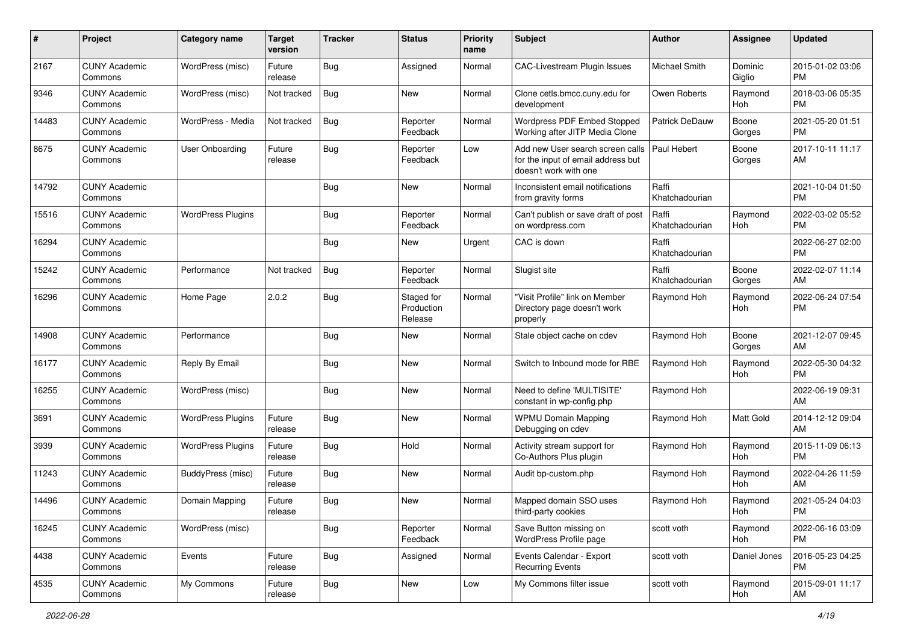| #     | Project                         | <b>Category name</b>     | <b>Target</b><br>version | <b>Tracker</b> | <b>Status</b>                       | <b>Priority</b><br>name | <b>Subject</b>                                                                                  | Author                  | <b>Assignee</b>   | <b>Updated</b>                |
|-------|---------------------------------|--------------------------|--------------------------|----------------|-------------------------------------|-------------------------|-------------------------------------------------------------------------------------------------|-------------------------|-------------------|-------------------------------|
| 2167  | <b>CUNY Academic</b><br>Commons | WordPress (misc)         | Future<br>release        | <b>Bug</b>     | Assigned                            | Normal                  | <b>CAC-Livestream Plugin Issues</b>                                                             | Michael Smith           | Dominic<br>Giglio | 2015-01-02 03:06<br><b>PM</b> |
| 9346  | <b>CUNY Academic</b><br>Commons | WordPress (misc)         | Not tracked              | <b>Bug</b>     | New                                 | Normal                  | Clone cetls.bmcc.cuny.edu for<br>development                                                    | Owen Roberts            | Raymond<br>Hoh    | 2018-03-06 05:35<br><b>PM</b> |
| 14483 | <b>CUNY Academic</b><br>Commons | WordPress - Media        | Not tracked              | <b>Bug</b>     | Reporter<br>Feedback                | Normal                  | Wordpress PDF Embed Stopped<br>Working after JITP Media Clone                                   | Patrick DeDauw          | Boone<br>Gorges   | 2021-05-20 01:51<br><b>PM</b> |
| 8675  | <b>CUNY Academic</b><br>Commons | <b>User Onboarding</b>   | Future<br>release        | Bug            | Reporter<br>Feedback                | Low                     | Add new User search screen calls<br>for the input of email address but<br>doesn't work with one | Paul Hebert             | Boone<br>Gorges   | 2017-10-11 11:17<br>AM        |
| 14792 | <b>CUNY Academic</b><br>Commons |                          |                          | Bug            | New                                 | Normal                  | Inconsistent email notifications<br>from gravity forms                                          | Raffi<br>Khatchadourian |                   | 2021-10-04 01:50<br><b>PM</b> |
| 15516 | <b>CUNY Academic</b><br>Commons | <b>WordPress Plugins</b> |                          | <b>Bug</b>     | Reporter<br>Feedback                | Normal                  | Can't publish or save draft of post<br>on wordpress.com                                         | Raffi<br>Khatchadourian | Raymond<br>Hoh    | 2022-03-02 05:52<br><b>PM</b> |
| 16294 | <b>CUNY Academic</b><br>Commons |                          |                          | <b>Bug</b>     | New                                 | Urgent                  | CAC is down                                                                                     | Raffi<br>Khatchadourian |                   | 2022-06-27 02:00<br><b>PM</b> |
| 15242 | <b>CUNY Academic</b><br>Commons | Performance              | Not tracked              | Bug            | Reporter<br>Feedback                | Normal                  | Slugist site                                                                                    | Raffi<br>Khatchadourian | Boone<br>Gorges   | 2022-02-07 11:14<br>AM        |
| 16296 | <b>CUNY Academic</b><br>Commons | Home Page                | 2.0.2                    | <b>Bug</b>     | Staged for<br>Production<br>Release | Normal                  | "Visit Profile" link on Member<br>Directory page doesn't work<br>properly                       | Raymond Hoh             | Raymond<br>Hoh    | 2022-06-24 07:54<br><b>PM</b> |
| 14908 | <b>CUNY Academic</b><br>Commons | Performance              |                          | <b>Bug</b>     | <b>New</b>                          | Normal                  | Stale object cache on cdev                                                                      | Raymond Hoh             | Boone<br>Gorges   | 2021-12-07 09:45<br>AM        |
| 16177 | <b>CUNY Academic</b><br>Commons | Reply By Email           |                          | <b>Bug</b>     | <b>New</b>                          | Normal                  | Switch to Inbound mode for RBE                                                                  | Raymond Hoh             | Raymond<br>Hoh    | 2022-05-30 04:32<br><b>PM</b> |
| 16255 | <b>CUNY Academic</b><br>Commons | WordPress (misc)         |                          | <b>Bug</b>     | <b>New</b>                          | Normal                  | Need to define 'MULTISITE'<br>constant in wp-config.php                                         | Raymond Hoh             |                   | 2022-06-19 09:31<br>AM        |
| 3691  | <b>CUNY Academic</b><br>Commons | <b>WordPress Plugins</b> | Future<br>release        | Bug            | New                                 | Normal                  | <b>WPMU Domain Mapping</b><br>Debugging on cdev                                                 | Raymond Hoh             | Matt Gold         | 2014-12-12 09:04<br>AM        |
| 3939  | <b>CUNY Academic</b><br>Commons | <b>WordPress Plugins</b> | Future<br>release        | <b>Bug</b>     | Hold                                | Normal                  | Activity stream support for<br>Co-Authors Plus plugin                                           | Raymond Hoh             | Raymond<br>Hoh    | 2015-11-09 06:13<br><b>PM</b> |
| 11243 | <b>CUNY Academic</b><br>Commons | BuddyPress (misc)        | Future<br>release        | <b>Bug</b>     | New                                 | Normal                  | Audit bp-custom.php                                                                             | Raymond Hoh             | Raymond<br>Hoh    | 2022-04-26 11:59<br>AM        |
| 14496 | <b>CUNY Academic</b><br>Commons | Domain Mapping           | Future<br>release        | <b>Bug</b>     | New                                 | Normal                  | Mapped domain SSO uses<br>third-party cookies                                                   | Raymond Hoh             | Raymond<br>Hoh    | 2021-05-24 04:03<br><b>PM</b> |
| 16245 | <b>CUNY Academic</b><br>Commons | WordPress (misc)         |                          | Bug            | Reporter<br>Feedback                | Normal                  | Save Button missing on<br>WordPress Profile page                                                | scott voth              | Raymond<br>Hoh    | 2022-06-16 03:09<br><b>PM</b> |
| 4438  | <b>CUNY Academic</b><br>Commons | Events                   | Future<br>release        | <b>Bug</b>     | Assigned                            | Normal                  | Events Calendar - Export<br><b>Recurring Events</b>                                             | scott voth              | Daniel Jones      | 2016-05-23 04:25<br>PM        |
| 4535  | <b>CUNY Academic</b><br>Commons | My Commons               | Future<br>release        | <b>Bug</b>     | New                                 | Low                     | My Commons filter issue                                                                         | scott voth              | Raymond<br>Hoh    | 2015-09-01 11:17<br>AM        |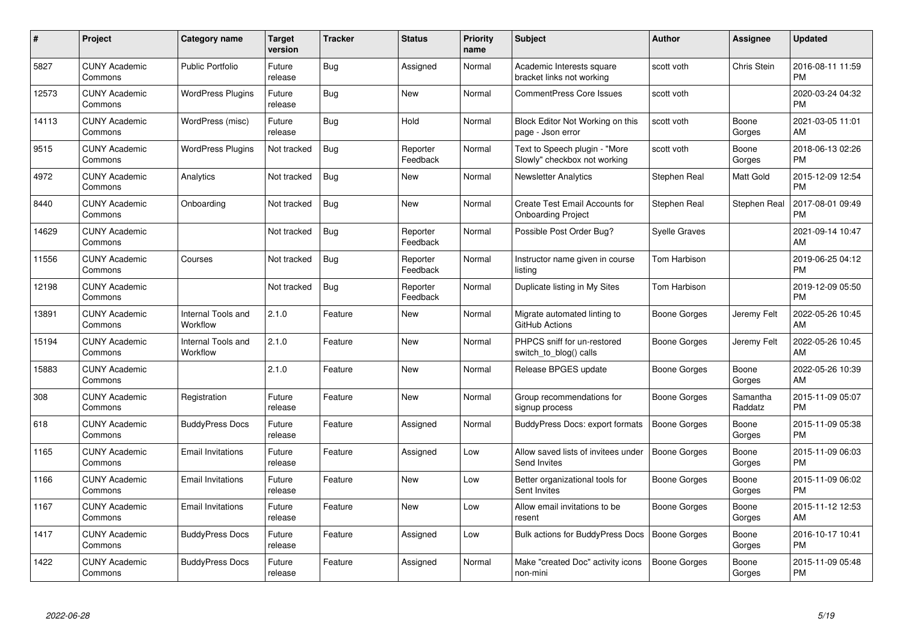| $\#$  | Project                         | Category name                  | <b>Target</b><br>version | <b>Tracker</b> | <b>Status</b>        | <b>Priority</b><br>name | <b>Subject</b>                                                | Author              | Assignee            | <b>Updated</b>                |
|-------|---------------------------------|--------------------------------|--------------------------|----------------|----------------------|-------------------------|---------------------------------------------------------------|---------------------|---------------------|-------------------------------|
| 5827  | <b>CUNY Academic</b><br>Commons | <b>Public Portfolio</b>        | Future<br>release        | <b>Bug</b>     | Assigned             | Normal                  | Academic Interests square<br>bracket links not working        | scott voth          | Chris Stein         | 2016-08-11 11:59<br><b>PM</b> |
| 12573 | <b>CUNY Academic</b><br>Commons | <b>WordPress Plugins</b>       | Future<br>release        | Bug            | New                  | Normal                  | <b>CommentPress Core Issues</b>                               | scott voth          |                     | 2020-03-24 04:32<br><b>PM</b> |
| 14113 | <b>CUNY Academic</b><br>Commons | WordPress (misc)               | Future<br>release        | <b>Bug</b>     | Hold                 | Normal                  | Block Editor Not Working on this<br>page - Json error         | scott voth          | Boone<br>Gorges     | 2021-03-05 11:01<br>AM        |
| 9515  | <b>CUNY Academic</b><br>Commons | <b>WordPress Plugins</b>       | Not tracked              | <b>Bug</b>     | Reporter<br>Feedback | Normal                  | Text to Speech plugin - "More<br>Slowly" checkbox not working | scott voth          | Boone<br>Gorges     | 2018-06-13 02:26<br><b>PM</b> |
| 4972  | <b>CUNY Academic</b><br>Commons | Analytics                      | Not tracked              | <b>Bug</b>     | <b>New</b>           | Normal                  | <b>Newsletter Analytics</b>                                   | Stephen Real        | Matt Gold           | 2015-12-09 12:54<br><b>PM</b> |
| 8440  | <b>CUNY Academic</b><br>Commons | Onboarding                     | Not tracked              | <b>Bug</b>     | <b>New</b>           | Normal                  | Create Test Email Accounts for<br><b>Onboarding Project</b>   | Stephen Real        | Stephen Real        | 2017-08-01 09:49<br><b>PM</b> |
| 14629 | <b>CUNY Academic</b><br>Commons |                                | Not tracked              | <b>Bug</b>     | Reporter<br>Feedback | Normal                  | Possible Post Order Bug?                                      | Syelle Graves       |                     | 2021-09-14 10:47<br>AM        |
| 11556 | <b>CUNY Academic</b><br>Commons | Courses                        | Not tracked              | Bug            | Reporter<br>Feedback | Normal                  | Instructor name given in course<br>listing                    | Tom Harbison        |                     | 2019-06-25 04:12<br><b>PM</b> |
| 12198 | <b>CUNY Academic</b><br>Commons |                                | Not tracked              | <b>Bug</b>     | Reporter<br>Feedback | Normal                  | Duplicate listing in My Sites                                 | Tom Harbison        |                     | 2019-12-09 05:50<br><b>PM</b> |
| 13891 | <b>CUNY Academic</b><br>Commons | Internal Tools and<br>Workflow | 2.1.0                    | Feature        | <b>New</b>           | Normal                  | Migrate automated linting to<br>GitHub Actions                | Boone Gorges        | Jeremy Felt         | 2022-05-26 10:45<br>AM        |
| 15194 | <b>CUNY Academic</b><br>Commons | Internal Tools and<br>Workflow | 2.1.0                    | Feature        | <b>New</b>           | Normal                  | PHPCS sniff for un-restored<br>switch_to_blog() calls         | Boone Gorges        | Jeremy Felt         | 2022-05-26 10:45<br>AM        |
| 15883 | <b>CUNY Academic</b><br>Commons |                                | 2.1.0                    | Feature        | <b>New</b>           | Normal                  | Release BPGES update                                          | Boone Gorges        | Boone<br>Gorges     | 2022-05-26 10:39<br>AM        |
| 308   | <b>CUNY Academic</b><br>Commons | Registration                   | Future<br>release        | Feature        | <b>New</b>           | Normal                  | Group recommendations for<br>signup process                   | Boone Gorges        | Samantha<br>Raddatz | 2015-11-09 05:07<br><b>PM</b> |
| 618   | <b>CUNY Academic</b><br>Commons | <b>BuddyPress Docs</b>         | Future<br>release        | Feature        | Assigned             | Normal                  | BuddyPress Docs: export formats                               | <b>Boone Gorges</b> | Boone<br>Gorges     | 2015-11-09 05:38<br><b>PM</b> |
| 1165  | <b>CUNY Academic</b><br>Commons | <b>Email Invitations</b>       | Future<br>release        | Feature        | Assigned             | Low                     | Allow saved lists of invitees under<br>Send Invites           | Boone Gorges        | Boone<br>Gorges     | 2015-11-09 06:03<br><b>PM</b> |
| 1166  | <b>CUNY Academic</b><br>Commons | <b>Email Invitations</b>       | Future<br>release        | Feature        | <b>New</b>           | Low                     | Better organizational tools for<br>Sent Invites               | Boone Gorges        | Boone<br>Gorges     | 2015-11-09 06:02<br><b>PM</b> |
| 1167  | <b>CUNY Academic</b><br>Commons | <b>Email Invitations</b>       | Future<br>release        | Feature        | <b>New</b>           | Low                     | Allow email invitations to be<br>resent                       | Boone Gorges        | Boone<br>Gorges     | 2015-11-12 12:53<br>AM        |
| 1417  | <b>CUNY Academic</b><br>Commons | <b>BuddyPress Docs</b>         | Future<br>release        | Feature        | Assigned             | Low                     | <b>Bulk actions for BuddyPress Docs</b>                       | <b>Boone Gorges</b> | Boone<br>Gorges     | 2016-10-17 10:41<br><b>PM</b> |
| 1422  | <b>CUNY Academic</b><br>Commons | <b>BuddyPress Docs</b>         | Future<br>release        | Feature        | Assigned             | Normal                  | Make "created Doc" activity icons<br>non-mini                 | <b>Boone Gorges</b> | Boone<br>Gorges     | 2015-11-09 05:48<br>PM        |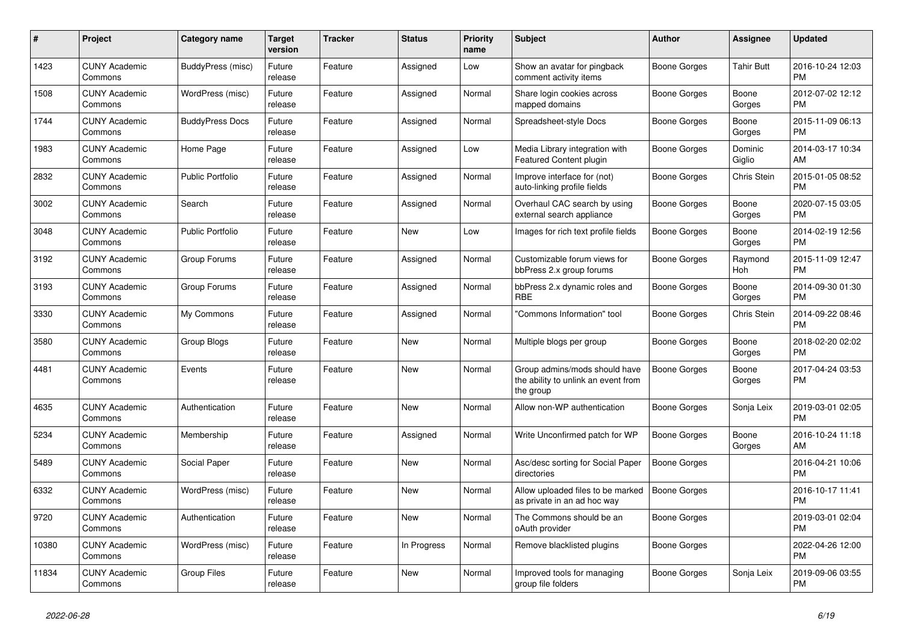| $\#$  | <b>Project</b>                  | Category name           | <b>Target</b><br>version | <b>Tracker</b> | <b>Status</b> | Priority<br>name | <b>Subject</b>                                                                    | Author              | Assignee          | <b>Updated</b>                |
|-------|---------------------------------|-------------------------|--------------------------|----------------|---------------|------------------|-----------------------------------------------------------------------------------|---------------------|-------------------|-------------------------------|
| 1423  | <b>CUNY Academic</b><br>Commons | BuddyPress (misc)       | Future<br>release        | Feature        | Assigned      | Low              | Show an avatar for pingback<br>comment activity items                             | Boone Gorges        | <b>Tahir Butt</b> | 2016-10-24 12:03<br><b>PM</b> |
| 1508  | <b>CUNY Academic</b><br>Commons | WordPress (misc)        | Future<br>release        | Feature        | Assigned      | Normal           | Share login cookies across<br>mapped domains                                      | Boone Gorges        | Boone<br>Gorges   | 2012-07-02 12:12<br><b>PM</b> |
| 1744  | <b>CUNY Academic</b><br>Commons | <b>BuddyPress Docs</b>  | Future<br>release        | Feature        | Assigned      | Normal           | Spreadsheet-style Docs                                                            | Boone Gorges        | Boone<br>Gorges   | 2015-11-09 06:13<br><b>PM</b> |
| 1983  | <b>CUNY Academic</b><br>Commons | Home Page               | Future<br>release        | Feature        | Assigned      | Low              | Media Library integration with<br>Featured Content plugin                         | <b>Boone Gorges</b> | Dominic<br>Giglio | 2014-03-17 10:34<br>AM        |
| 2832  | <b>CUNY Academic</b><br>Commons | <b>Public Portfolio</b> | Future<br>release        | Feature        | Assigned      | Normal           | Improve interface for (not)<br>auto-linking profile fields                        | Boone Gorges        | Chris Stein       | 2015-01-05 08:52<br><b>PM</b> |
| 3002  | <b>CUNY Academic</b><br>Commons | Search                  | Future<br>release        | Feature        | Assigned      | Normal           | Overhaul CAC search by using<br>external search appliance                         | <b>Boone Gorges</b> | Boone<br>Gorges   | 2020-07-15 03:05<br><b>PM</b> |
| 3048  | <b>CUNY Academic</b><br>Commons | <b>Public Portfolio</b> | Future<br>release        | Feature        | <b>New</b>    | Low              | Images for rich text profile fields                                               | <b>Boone Gorges</b> | Boone<br>Gorges   | 2014-02-19 12:56<br><b>PM</b> |
| 3192  | <b>CUNY Academic</b><br>Commons | Group Forums            | Future<br>release        | Feature        | Assigned      | Normal           | Customizable forum views for<br>bbPress 2.x group forums                          | Boone Gorges        | Raymond<br>Hoh    | 2015-11-09 12:47<br><b>PM</b> |
| 3193  | <b>CUNY Academic</b><br>Commons | Group Forums            | Future<br>release        | Feature        | Assigned      | Normal           | bbPress 2.x dynamic roles and<br><b>RBE</b>                                       | Boone Gorges        | Boone<br>Gorges   | 2014-09-30 01:30<br><b>PM</b> |
| 3330  | <b>CUNY Academic</b><br>Commons | My Commons              | Future<br>release        | Feature        | Assigned      | Normal           | 'Commons Information" tool                                                        | Boone Gorges        | Chris Stein       | 2014-09-22 08:46<br><b>PM</b> |
| 3580  | <b>CUNY Academic</b><br>Commons | <b>Group Blogs</b>      | Future<br>release        | Feature        | <b>New</b>    | Normal           | Multiple blogs per group                                                          | <b>Boone Gorges</b> | Boone<br>Gorges   | 2018-02-20 02:02<br><b>PM</b> |
| 4481  | <b>CUNY Academic</b><br>Commons | Events                  | Future<br>release        | Feature        | <b>New</b>    | Normal           | Group admins/mods should have<br>the ability to unlink an event from<br>the group | Boone Gorges        | Boone<br>Gorges   | 2017-04-24 03:53<br><b>PM</b> |
| 4635  | <b>CUNY Academic</b><br>Commons | Authentication          | Future<br>release        | Feature        | <b>New</b>    | Normal           | Allow non-WP authentication                                                       | Boone Gorges        | Sonja Leix        | 2019-03-01 02:05<br><b>PM</b> |
| 5234  | <b>CUNY Academic</b><br>Commons | Membership              | Future<br>release        | Feature        | Assigned      | Normal           | Write Unconfirmed patch for WP                                                    | Boone Gorges        | Boone<br>Gorges   | 2016-10-24 11:18<br>AM        |
| 5489  | <b>CUNY Academic</b><br>Commons | Social Paper            | Future<br>release        | Feature        | New           | Normal           | Asc/desc sorting for Social Paper<br>directories                                  | Boone Gorges        |                   | 2016-04-21 10:06<br><b>PM</b> |
| 6332  | <b>CUNY Academic</b><br>Commons | WordPress (misc)        | Future<br>release        | Feature        | <b>New</b>    | Normal           | Allow uploaded files to be marked<br>as private in an ad hoc way                  | <b>Boone Gorges</b> |                   | 2016-10-17 11:41<br><b>PM</b> |
| 9720  | <b>CUNY Academic</b><br>Commons | Authentication          | Future<br>release        | Feature        | <b>New</b>    | Normal           | The Commons should be an<br>oAuth provider                                        | <b>Boone Gorges</b> |                   | 2019-03-01 02:04<br><b>PM</b> |
| 10380 | <b>CUNY Academic</b><br>Commons | WordPress (misc)        | Future<br>release        | Feature        | In Progress   | Normal           | Remove blacklisted plugins                                                        | Boone Gorges        |                   | 2022-04-26 12:00<br><b>PM</b> |
| 11834 | <b>CUNY Academic</b><br>Commons | <b>Group Files</b>      | Future<br>release        | Feature        | <b>New</b>    | Normal           | Improved tools for managing<br>group file folders                                 | Boone Gorges        | Sonja Leix        | 2019-09-06 03:55<br><b>PM</b> |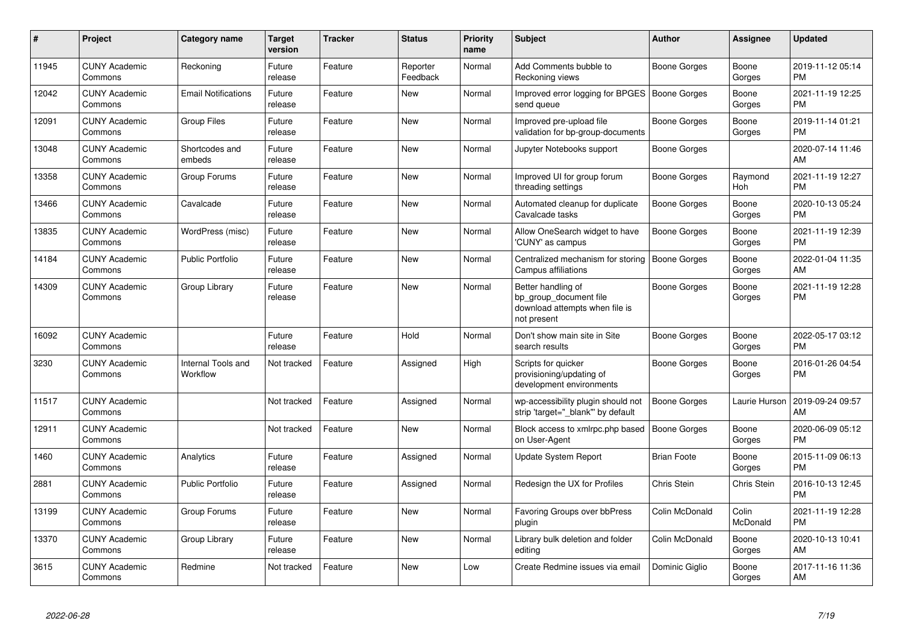| #     | Project                         | Category name                  | <b>Target</b><br>version | <b>Tracker</b> | <b>Status</b>        | Priority<br>name | <b>Subject</b>                                                                                | <b>Author</b>       | Assignee          | <b>Updated</b>                |
|-------|---------------------------------|--------------------------------|--------------------------|----------------|----------------------|------------------|-----------------------------------------------------------------------------------------------|---------------------|-------------------|-------------------------------|
| 11945 | <b>CUNY Academic</b><br>Commons | Reckoning                      | Future<br>release        | Feature        | Reporter<br>Feedback | Normal           | Add Comments bubble to<br>Reckoning views                                                     | Boone Gorges        | Boone<br>Gorges   | 2019-11-12 05:14<br><b>PM</b> |
| 12042 | <b>CUNY Academic</b><br>Commons | <b>Email Notifications</b>     | Future<br>release        | Feature        | <b>New</b>           | Normal           | Improved error logging for BPGES   Boone Gorges<br>send queue                                 |                     | Boone<br>Gorges   | 2021-11-19 12:25<br><b>PM</b> |
| 12091 | <b>CUNY Academic</b><br>Commons | <b>Group Files</b>             | Future<br>release        | Feature        | <b>New</b>           | Normal           | Improved pre-upload file<br>validation for bp-group-documents                                 | <b>Boone Gorges</b> | Boone<br>Gorges   | 2019-11-14 01:21<br><b>PM</b> |
| 13048 | <b>CUNY Academic</b><br>Commons | Shortcodes and<br>embeds       | Future<br>release        | Feature        | <b>New</b>           | Normal           | Jupyter Notebooks support                                                                     | Boone Gorges        |                   | 2020-07-14 11:46<br>AM        |
| 13358 | <b>CUNY Academic</b><br>Commons | Group Forums                   | Future<br>release        | Feature        | New                  | Normal           | Improved UI for group forum<br>threading settings                                             | Boone Gorges        | Raymond<br>Hoh    | 2021-11-19 12:27<br><b>PM</b> |
| 13466 | <b>CUNY Academic</b><br>Commons | Cavalcade                      | Future<br>release        | Feature        | <b>New</b>           | Normal           | Automated cleanup for duplicate<br>Cavalcade tasks                                            | <b>Boone Gorges</b> | Boone<br>Gorges   | 2020-10-13 05:24<br><b>PM</b> |
| 13835 | <b>CUNY Academic</b><br>Commons | WordPress (misc)               | Future<br>release        | Feature        | <b>New</b>           | Normal           | Allow OneSearch widget to have<br>'CUNY' as campus                                            | <b>Boone Gorges</b> | Boone<br>Gorges   | 2021-11-19 12:39<br><b>PM</b> |
| 14184 | <b>CUNY Academic</b><br>Commons | <b>Public Portfolio</b>        | Future<br>release        | Feature        | <b>New</b>           | Normal           | Centralized mechanism for storing<br>Campus affiliations                                      | <b>Boone Gorges</b> | Boone<br>Gorges   | 2022-01-04 11:35<br>AM        |
| 14309 | <b>CUNY Academic</b><br>Commons | Group Library                  | Future<br>release        | Feature        | <b>New</b>           | Normal           | Better handling of<br>bp group document file<br>download attempts when file is<br>not present | <b>Boone Gorges</b> | Boone<br>Gorges   | 2021-11-19 12:28<br><b>PM</b> |
| 16092 | <b>CUNY Academic</b><br>Commons |                                | Future<br>release        | Feature        | Hold                 | Normal           | Don't show main site in Site<br>search results                                                | Boone Gorges        | Boone<br>Gorges   | 2022-05-17 03:12<br><b>PM</b> |
| 3230  | <b>CUNY Academic</b><br>Commons | Internal Tools and<br>Workflow | Not tracked              | Feature        | Assigned             | High             | Scripts for quicker<br>provisioning/updating of<br>development environments                   | <b>Boone Gorges</b> | Boone<br>Gorges   | 2016-01-26 04:54<br><b>PM</b> |
| 11517 | <b>CUNY Academic</b><br>Commons |                                | Not tracked              | Feature        | Assigned             | Normal           | wp-accessibility plugin should not<br>strip 'target="_blank" by default                       | <b>Boone Gorges</b> | Laurie Hurson     | 2019-09-24 09:57<br>AM        |
| 12911 | <b>CUNY Academic</b><br>Commons |                                | Not tracked              | Feature        | New                  | Normal           | Block access to xmlrpc.php based<br>on User-Agent                                             | Boone Gorges        | Boone<br>Gorges   | 2020-06-09 05:12<br><b>PM</b> |
| 1460  | <b>CUNY Academic</b><br>Commons | Analytics                      | Future<br>release        | Feature        | Assigned             | Normal           | Update System Report                                                                          | <b>Brian Foote</b>  | Boone<br>Gorges   | 2015-11-09 06:13<br><b>PM</b> |
| 2881  | <b>CUNY Academic</b><br>Commons | <b>Public Portfolio</b>        | Future<br>release        | Feature        | Assigned             | Normal           | Redesign the UX for Profiles                                                                  | Chris Stein         | Chris Stein       | 2016-10-13 12:45<br><b>PM</b> |
| 13199 | <b>CUNY Academic</b><br>Commons | Group Forums                   | Future<br>release        | Feature        | <b>New</b>           | Normal           | Favoring Groups over bbPress<br>plugin                                                        | Colin McDonald      | Colin<br>McDonald | 2021-11-19 12:28<br><b>PM</b> |
| 13370 | <b>CUNY Academic</b><br>Commons | Group Library                  | Future<br>release        | Feature        | New                  | Normal           | Library bulk deletion and folder<br>editing                                                   | Colin McDonald      | Boone<br>Gorges   | 2020-10-13 10:41<br>AM        |
| 3615  | <b>CUNY Academic</b><br>Commons | Redmine                        | Not tracked              | Feature        | <b>New</b>           | Low              | Create Redmine issues via email                                                               | Dominic Giglio      | Boone<br>Gorges   | 2017-11-16 11:36<br>AM        |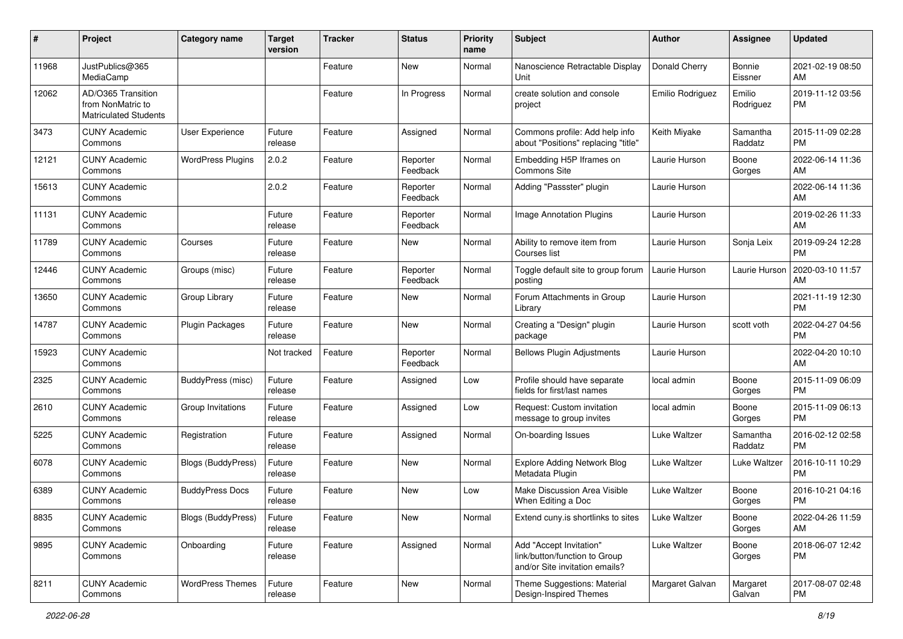| #     | Project                                                                 | <b>Category name</b>     | <b>Target</b><br>version | <b>Tracker</b> | <b>Status</b>        | <b>Priority</b><br>name | Subject                                                                                    | Author              | <b>Assignee</b>     | <b>Updated</b>                |
|-------|-------------------------------------------------------------------------|--------------------------|--------------------------|----------------|----------------------|-------------------------|--------------------------------------------------------------------------------------------|---------------------|---------------------|-------------------------------|
| 11968 | JustPublics@365<br>MediaCamp                                            |                          |                          | Feature        | <b>New</b>           | Normal                  | Nanoscience Retractable Display<br>Unit                                                    | Donald Cherry       | Bonnie<br>Eissner   | 2021-02-19 08:50<br>AM        |
| 12062 | AD/O365 Transition<br>from NonMatric to<br><b>Matriculated Students</b> |                          |                          | Feature        | In Progress          | Normal                  | create solution and console<br>project                                                     | Emilio Rodriguez    | Emilio<br>Rodriguez | 2019-11-12 03:56<br><b>PM</b> |
| 3473  | <b>CUNY Academic</b><br>Commons                                         | <b>User Experience</b>   | Future<br>release        | Feature        | Assigned             | Normal                  | Commons profile: Add help info<br>about "Positions" replacing "title"                      | Keith Miyake        | Samantha<br>Raddatz | 2015-11-09 02:28<br><b>PM</b> |
| 12121 | <b>CUNY Academic</b><br>Commons                                         | <b>WordPress Plugins</b> | 2.0.2                    | Feature        | Reporter<br>Feedback | Normal                  | Embedding H5P Iframes on<br>Commons Site                                                   | Laurie Hurson       | Boone<br>Gorges     | 2022-06-14 11:36<br>AM        |
| 15613 | <b>CUNY Academic</b><br>Commons                                         |                          | 2.0.2                    | Feature        | Reporter<br>Feedback | Normal                  | Adding "Passster" plugin                                                                   | Laurie Hurson       |                     | 2022-06-14 11:36<br>AM        |
| 11131 | <b>CUNY Academic</b><br>Commons                                         |                          | Future<br>release        | Feature        | Reporter<br>Feedback | Normal                  | <b>Image Annotation Plugins</b>                                                            | Laurie Hurson       |                     | 2019-02-26 11:33<br>AM        |
| 11789 | <b>CUNY Academic</b><br>Commons                                         | Courses                  | Future<br>release        | Feature        | New                  | Normal                  | Ability to remove item from<br>Courses list                                                | Laurie Hurson       | Sonja Leix          | 2019-09-24 12:28<br><b>PM</b> |
| 12446 | <b>CUNY Academic</b><br>Commons                                         | Groups (misc)            | Future<br>release        | Feature        | Reporter<br>Feedback | Normal                  | Toggle default site to group forum<br>posting                                              | Laurie Hurson       | Laurie Hurson       | 2020-03-10 11:57<br>AM        |
| 13650 | <b>CUNY Academic</b><br>Commons                                         | Group Library            | Future<br>release        | Feature        | New                  | Normal                  | Forum Attachments in Group<br>Library                                                      | Laurie Hurson       |                     | 2021-11-19 12:30<br><b>PM</b> |
| 14787 | <b>CUNY Academic</b><br>Commons                                         | <b>Plugin Packages</b>   | Future<br>release        | Feature        | New                  | Normal                  | Creating a "Design" plugin<br>package                                                      | Laurie Hurson       | scott voth          | 2022-04-27 04:56<br><b>PM</b> |
| 15923 | <b>CUNY Academic</b><br>Commons                                         |                          | Not tracked              | Feature        | Reporter<br>Feedback | Normal                  | <b>Bellows Plugin Adjustments</b>                                                          | Laurie Hurson       |                     | 2022-04-20 10:10<br>AM        |
| 2325  | <b>CUNY Academic</b><br>Commons                                         | BuddyPress (misc)        | Future<br>release        | Feature        | Assigned             | Low                     | Profile should have separate<br>fields for first/last names                                | local admin         | Boone<br>Gorges     | 2015-11-09 06:09<br><b>PM</b> |
| 2610  | <b>CUNY Academic</b><br>Commons                                         | Group Invitations        | Future<br>release        | Feature        | Assigned             | Low                     | Request: Custom invitation<br>message to group invites                                     | local admin         | Boone<br>Gorges     | 2015-11-09 06:13<br><b>PM</b> |
| 5225  | <b>CUNY Academic</b><br>Commons                                         | Registration             | Future<br>release        | Feature        | Assigned             | Normal                  | On-boarding Issues                                                                         | Luke Waltzer        | Samantha<br>Raddatz | 2016-02-12 02:58<br><b>PM</b> |
| 6078  | <b>CUNY Academic</b><br>Commons                                         | Blogs (BuddyPress)       | Future<br>release        | Feature        | <b>New</b>           | Normal                  | Explore Adding Network Blog<br>Metadata Plugin                                             | Luke Waltzer        | Luke Waltzer        | 2016-10-11 10:29<br><b>PM</b> |
| 6389  | <b>CUNY Academic</b><br>Commons                                         | <b>BuddyPress Docs</b>   | Future<br>release        | Feature        | New                  | Low                     | Make Discussion Area Visible<br>When Editing a Doc                                         | <b>Luke Waltzer</b> | Boone<br>Gorges     | 2016-10-21 04:16<br>PM        |
| 8835  | <b>CUNY Academic</b><br>Commons                                         | Blogs (BuddyPress)       | Future<br>release        | Feature        | New                  | Normal                  | Extend cuny.is shortlinks to sites                                                         | Luke Waltzer        | Boone<br>Gorges     | 2022-04-26 11:59<br>AM        |
| 9895  | <b>CUNY Academic</b><br>Commons                                         | Onboarding               | Future<br>release        | Feature        | Assigned             | Normal                  | Add "Accept Invitation"<br>link/button/function to Group<br>and/or Site invitation emails? | Luke Waltzer        | Boone<br>Gorges     | 2018-06-07 12:42<br><b>PM</b> |
| 8211  | <b>CUNY Academic</b><br>Commons                                         | <b>WordPress Themes</b>  | Future<br>release        | Feature        | New                  | Normal                  | Theme Suggestions: Material<br>Design-Inspired Themes                                      | Margaret Galvan     | Margaret<br>Galvan  | 2017-08-07 02:48<br><b>PM</b> |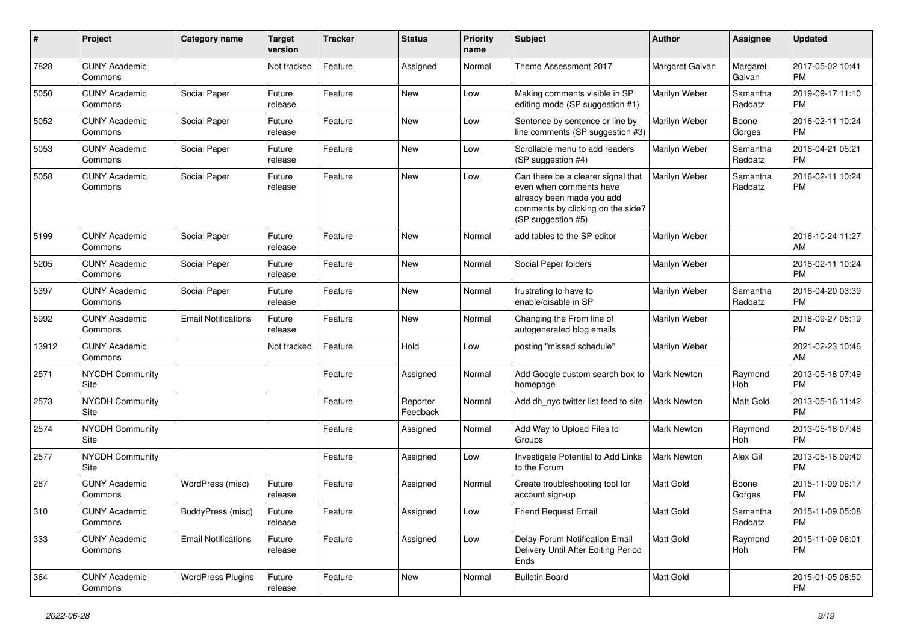| #     | Project                         | <b>Category name</b>       | Target<br>version | <b>Tracker</b> | <b>Status</b>        | <b>Priority</b><br>name | <b>Subject</b>                                                                                                                                        | <b>Author</b>      | <b>Assignee</b>     | <b>Updated</b>                |
|-------|---------------------------------|----------------------------|-------------------|----------------|----------------------|-------------------------|-------------------------------------------------------------------------------------------------------------------------------------------------------|--------------------|---------------------|-------------------------------|
| 7828  | <b>CUNY Academic</b><br>Commons |                            | Not tracked       | Feature        | Assigned             | Normal                  | Theme Assessment 2017                                                                                                                                 | Margaret Galvan    | Margaret<br>Galvan  | 2017-05-02 10:41<br><b>PM</b> |
| 5050  | <b>CUNY Academic</b><br>Commons | Social Paper               | Future<br>release | Feature        | New                  | Low                     | Making comments visible in SP<br>editing mode (SP suggestion #1)                                                                                      | Marilyn Weber      | Samantha<br>Raddatz | 2019-09-17 11:10<br><b>PM</b> |
| 5052  | <b>CUNY Academic</b><br>Commons | Social Paper               | Future<br>release | Feature        | New                  | Low                     | Sentence by sentence or line by<br>line comments (SP suggestion #3)                                                                                   | Marilyn Weber      | Boone<br>Gorges     | 2016-02-11 10:24<br><b>PM</b> |
| 5053  | <b>CUNY Academic</b><br>Commons | Social Paper               | Future<br>release | Feature        | New                  | Low                     | Scrollable menu to add readers<br>(SP suggestion #4)                                                                                                  | Marilyn Weber      | Samantha<br>Raddatz | 2016-04-21 05:21<br><b>PM</b> |
| 5058  | <b>CUNY Academic</b><br>Commons | Social Paper               | Future<br>release | Feature        | New                  | Low                     | Can there be a clearer signal that<br>even when comments have<br>already been made you add<br>comments by clicking on the side?<br>(SP suggestion #5) | Marilyn Weber      | Samantha<br>Raddatz | 2016-02-11 10:24<br><b>PM</b> |
| 5199  | <b>CUNY Academic</b><br>Commons | Social Paper               | Future<br>release | Feature        | New                  | Normal                  | add tables to the SP editor                                                                                                                           | Marilyn Weber      |                     | 2016-10-24 11:27<br>AM        |
| 5205  | <b>CUNY Academic</b><br>Commons | Social Paper               | Future<br>release | Feature        | New                  | Normal                  | Social Paper folders                                                                                                                                  | Marilyn Weber      |                     | 2016-02-11 10:24<br><b>PM</b> |
| 5397  | <b>CUNY Academic</b><br>Commons | Social Paper               | Future<br>release | Feature        | <b>New</b>           | Normal                  | frustrating to have to<br>enable/disable in SP                                                                                                        | Marilyn Weber      | Samantha<br>Raddatz | 2016-04-20 03:39<br><b>PM</b> |
| 5992  | <b>CUNY Academic</b><br>Commons | <b>Email Notifications</b> | Future<br>release | Feature        | New                  | Normal                  | Changing the From line of<br>autogenerated blog emails                                                                                                | Marilyn Weber      |                     | 2018-09-27 05:19<br><b>PM</b> |
| 13912 | <b>CUNY Academic</b><br>Commons |                            | Not tracked       | Feature        | Hold                 | Low                     | posting "missed schedule"                                                                                                                             | Marilyn Weber      |                     | 2021-02-23 10:46<br>AM        |
| 2571  | NYCDH Community<br>Site         |                            |                   | Feature        | Assigned             | Normal                  | Add Google custom search box to<br>homepage                                                                                                           | <b>Mark Newton</b> | Raymond<br>Hoh      | 2013-05-18 07:49<br><b>PM</b> |
| 2573  | NYCDH Community<br>Site         |                            |                   | Feature        | Reporter<br>Feedback | Normal                  | Add dh nyc twitter list feed to site                                                                                                                  | <b>Mark Newton</b> | <b>Matt Gold</b>    | 2013-05-16 11:42<br><b>PM</b> |
| 2574  | NYCDH Community<br>Site         |                            |                   | Feature        | Assigned             | Normal                  | Add Way to Upload Files to<br>Groups                                                                                                                  | <b>Mark Newton</b> | Raymond<br>Hoh      | 2013-05-18 07:46<br><b>PM</b> |
| 2577  | <b>NYCDH Community</b><br>Site  |                            |                   | Feature        | Assigned             | Low                     | Investigate Potential to Add Links<br>to the Forum                                                                                                    | Mark Newton        | Alex Gil            | 2013-05-16 09:40<br><b>PM</b> |
| 287   | <b>CUNY Academic</b><br>Commons | WordPress (misc)           | Future<br>release | Feature        | Assigned             | Normal                  | Create troubleshooting tool for<br>account sign-up                                                                                                    | Matt Gold          | Boone<br>Gorges     | 2015-11-09 06:17<br>PM        |
| 310   | <b>CUNY Academic</b><br>Commons | BuddyPress (misc)          | Future<br>release | Feature        | Assigned             | Low                     | Friend Request Email                                                                                                                                  | Matt Gold          | Samantha<br>Raddatz | 2015-11-09 05:08<br><b>PM</b> |
| 333   | <b>CUNY Academic</b><br>Commons | <b>Email Notifications</b> | Future<br>release | Feature        | Assigned             | Low                     | Delay Forum Notification Email<br>Delivery Until After Editing Period<br>Ends                                                                         | Matt Gold          | Raymond<br>Hoh      | 2015-11-09 06:01<br><b>PM</b> |
| 364   | <b>CUNY Academic</b><br>Commons | <b>WordPress Plugins</b>   | Future<br>release | Feature        | New                  | Normal                  | <b>Bulletin Board</b>                                                                                                                                 | Matt Gold          |                     | 2015-01-05 08:50<br><b>PM</b> |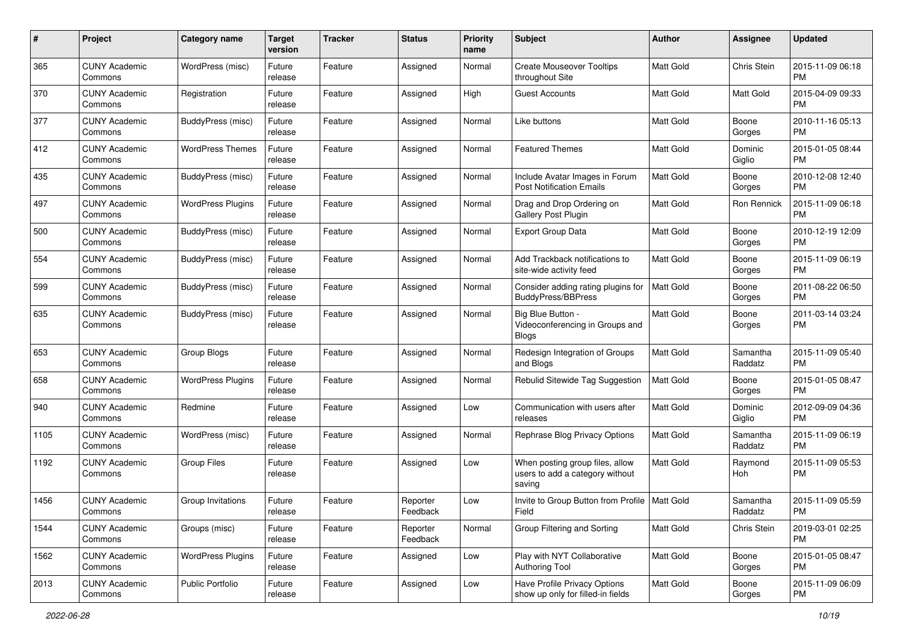| #    | Project                         | Category name            | <b>Target</b><br>version | <b>Tracker</b> | <b>Status</b>        | <b>Priority</b><br>name | <b>Subject</b>                                                               | Author           | <b>Assignee</b>     | <b>Updated</b>                |
|------|---------------------------------|--------------------------|--------------------------|----------------|----------------------|-------------------------|------------------------------------------------------------------------------|------------------|---------------------|-------------------------------|
| 365  | <b>CUNY Academic</b><br>Commons | WordPress (misc)         | Future<br>release        | Feature        | Assigned             | Normal                  | <b>Create Mouseover Tooltips</b><br>throughout Site                          | <b>Matt Gold</b> | Chris Stein         | 2015-11-09 06:18<br><b>PM</b> |
| 370  | <b>CUNY Academic</b><br>Commons | Registration             | Future<br>release        | Feature        | Assigned             | High                    | <b>Guest Accounts</b>                                                        | Matt Gold        | Matt Gold           | 2015-04-09 09:33<br><b>PM</b> |
| 377  | <b>CUNY Academic</b><br>Commons | BuddyPress (misc)        | Future<br>release        | Feature        | Assigned             | Normal                  | Like buttons                                                                 | <b>Matt Gold</b> | Boone<br>Gorges     | 2010-11-16 05:13<br><b>PM</b> |
| 412  | <b>CUNY Academic</b><br>Commons | <b>WordPress Themes</b>  | Future<br>release        | Feature        | Assigned             | Normal                  | <b>Featured Themes</b>                                                       | <b>Matt Gold</b> | Dominic<br>Giglio   | 2015-01-05 08:44<br><b>PM</b> |
| 435  | <b>CUNY Academic</b><br>Commons | BuddyPress (misc)        | Future<br>release        | Feature        | Assigned             | Normal                  | Include Avatar Images in Forum<br><b>Post Notification Emails</b>            | <b>Matt Gold</b> | Boone<br>Gorges     | 2010-12-08 12:40<br><b>PM</b> |
| 497  | <b>CUNY Academic</b><br>Commons | <b>WordPress Plugins</b> | Future<br>release        | Feature        | Assigned             | Normal                  | Drag and Drop Ordering on<br>Gallery Post Plugin                             | Matt Gold        | Ron Rennick         | 2015-11-09 06:18<br><b>PM</b> |
| 500  | <b>CUNY Academic</b><br>Commons | BuddyPress (misc)        | Future<br>release        | Feature        | Assigned             | Normal                  | Export Group Data                                                            | Matt Gold        | Boone<br>Gorges     | 2010-12-19 12:09<br><b>PM</b> |
| 554  | <b>CUNY Academic</b><br>Commons | BuddyPress (misc)        | Future<br>release        | Feature        | Assigned             | Normal                  | Add Trackback notifications to<br>site-wide activity feed                    | <b>Matt Gold</b> | Boone<br>Gorges     | 2015-11-09 06:19<br><b>PM</b> |
| 599  | <b>CUNY Academic</b><br>Commons | BuddyPress (misc)        | Future<br>release        | Feature        | Assigned             | Normal                  | Consider adding rating plugins for<br><b>BuddyPress/BBPress</b>              | <b>Matt Gold</b> | Boone<br>Gorges     | 2011-08-22 06:50<br><b>PM</b> |
| 635  | <b>CUNY Academic</b><br>Commons | BuddyPress (misc)        | Future<br>release        | Feature        | Assigned             | Normal                  | Big Blue Button -<br>Videoconferencing in Groups and<br><b>Blogs</b>         | Matt Gold        | Boone<br>Gorges     | 2011-03-14 03:24<br><b>PM</b> |
| 653  | <b>CUNY Academic</b><br>Commons | Group Blogs              | Future<br>release        | Feature        | Assigned             | Normal                  | Redesign Integration of Groups<br>and Blogs                                  | Matt Gold        | Samantha<br>Raddatz | 2015-11-09 05:40<br><b>PM</b> |
| 658  | <b>CUNY Academic</b><br>Commons | <b>WordPress Plugins</b> | Future<br>release        | Feature        | Assigned             | Normal                  | Rebulid Sitewide Tag Suggestion                                              | Matt Gold        | Boone<br>Gorges     | 2015-01-05 08:47<br><b>PM</b> |
| 940  | <b>CUNY Academic</b><br>Commons | Redmine                  | Future<br>release        | Feature        | Assigned             | Low                     | Communication with users after<br>releases                                   | <b>Matt Gold</b> | Dominic<br>Giglio   | 2012-09-09 04:36<br><b>PM</b> |
| 1105 | <b>CUNY Academic</b><br>Commons | WordPress (misc)         | Future<br>release        | Feature        | Assigned             | Normal                  | Rephrase Blog Privacy Options                                                | Matt Gold        | Samantha<br>Raddatz | 2015-11-09 06:19<br><b>PM</b> |
| 1192 | <b>CUNY Academic</b><br>Commons | <b>Group Files</b>       | Future<br>release        | Feature        | Assigned             | Low                     | When posting group files, allow<br>users to add a category without<br>saving | <b>Matt Gold</b> | Raymond<br>Hoh      | 2015-11-09 05:53<br><b>PM</b> |
| 1456 | <b>CUNY Academic</b><br>Commons | Group Invitations        | Future<br>release        | Feature        | Reporter<br>Feedback | Low                     | Invite to Group Button from Profile   Matt Gold<br>Field                     |                  | Samantha<br>Raddatz | 2015-11-09 05:59<br><b>PM</b> |
| 1544 | <b>CUNY Academic</b><br>Commons | Groups (misc)            | Future<br>release        | Feature        | Reporter<br>Feedback | Normal                  | Group Filtering and Sorting                                                  | Matt Gold        | Chris Stein         | 2019-03-01 02:25<br><b>PM</b> |
| 1562 | <b>CUNY Academic</b><br>Commons | <b>WordPress Plugins</b> | Future<br>release        | Feature        | Assigned             | Low                     | Play with NYT Collaborative<br><b>Authoring Tool</b>                         | Matt Gold        | Boone<br>Gorges     | 2015-01-05 08:47<br><b>PM</b> |
| 2013 | <b>CUNY Academic</b><br>Commons | Public Portfolio         | Future<br>release        | Feature        | Assigned             | Low                     | Have Profile Privacy Options<br>show up only for filled-in fields            | Matt Gold        | Boone<br>Gorges     | 2015-11-09 06:09<br><b>PM</b> |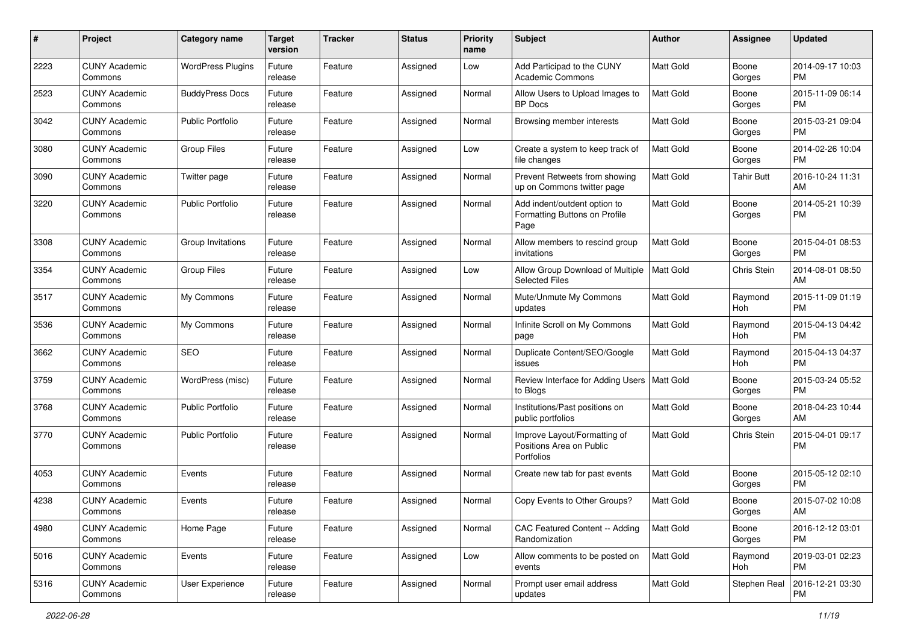| #    | Project                         | <b>Category name</b>     | <b>Target</b><br>version | <b>Tracker</b> | <b>Status</b> | <b>Priority</b><br>name | <b>Subject</b>                                                         | Author           | <b>Assignee</b> | <b>Updated</b>                |
|------|---------------------------------|--------------------------|--------------------------|----------------|---------------|-------------------------|------------------------------------------------------------------------|------------------|-----------------|-------------------------------|
| 2223 | <b>CUNY Academic</b><br>Commons | <b>WordPress Plugins</b> | Future<br>release        | Feature        | Assigned      | Low                     | Add Participad to the CUNY<br><b>Academic Commons</b>                  | <b>Matt Gold</b> | Boone<br>Gorges | 2014-09-17 10:03<br><b>PM</b> |
| 2523 | <b>CUNY Academic</b><br>Commons | <b>BuddyPress Docs</b>   | Future<br>release        | Feature        | Assigned      | Normal                  | Allow Users to Upload Images to<br><b>BP Docs</b>                      | Matt Gold        | Boone<br>Gorges | 2015-11-09 06:14<br><b>PM</b> |
| 3042 | <b>CUNY Academic</b><br>Commons | <b>Public Portfolio</b>  | Future<br>release        | Feature        | Assigned      | Normal                  | Browsing member interests                                              | Matt Gold        | Boone<br>Gorges | 2015-03-21 09:04<br><b>PM</b> |
| 3080 | <b>CUNY Academic</b><br>Commons | <b>Group Files</b>       | Future<br>release        | Feature        | Assigned      | Low                     | Create a system to keep track of<br>file changes                       | <b>Matt Gold</b> | Boone<br>Gorges | 2014-02-26 10:04<br>PM        |
| 3090 | <b>CUNY Academic</b><br>Commons | Twitter page             | Future<br>release        | Feature        | Assigned      | Normal                  | Prevent Retweets from showing<br>up on Commons twitter page            | <b>Matt Gold</b> | Tahir Butt      | 2016-10-24 11:31<br>AM        |
| 3220 | <b>CUNY Academic</b><br>Commons | <b>Public Portfolio</b>  | Future<br>release        | Feature        | Assigned      | Normal                  | Add indent/outdent option to<br>Formatting Buttons on Profile<br>Page  | Matt Gold        | Boone<br>Gorges | 2014-05-21 10:39<br>PM        |
| 3308 | <b>CUNY Academic</b><br>Commons | Group Invitations        | Future<br>release        | Feature        | Assigned      | Normal                  | Allow members to rescind group<br>invitations                          | <b>Matt Gold</b> | Boone<br>Gorges | 2015-04-01 08:53<br><b>PM</b> |
| 3354 | <b>CUNY Academic</b><br>Commons | <b>Group Files</b>       | Future<br>release        | Feature        | Assigned      | Low                     | Allow Group Download of Multiple<br>Selected Files                     | Matt Gold        | Chris Stein     | 2014-08-01 08:50<br>AM        |
| 3517 | <b>CUNY Academic</b><br>Commons | My Commons               | Future<br>release        | Feature        | Assigned      | Normal                  | Mute/Unmute My Commons<br>updates                                      | <b>Matt Gold</b> | Raymond<br>Hoh  | 2015-11-09 01:19<br><b>PM</b> |
| 3536 | <b>CUNY Academic</b><br>Commons | My Commons               | Future<br>release        | Feature        | Assigned      | Normal                  | Infinite Scroll on My Commons<br>page                                  | <b>Matt Gold</b> | Raymond<br>Hoh  | 2015-04-13 04:42<br><b>PM</b> |
| 3662 | <b>CUNY Academic</b><br>Commons | <b>SEO</b>               | Future<br>release        | Feature        | Assigned      | Normal                  | Duplicate Content/SEO/Google<br>issues                                 | Matt Gold        | Raymond<br>Hoh  | 2015-04-13 04:37<br><b>PM</b> |
| 3759 | <b>CUNY Academic</b><br>Commons | WordPress (misc)         | Future<br>release        | Feature        | Assigned      | Normal                  | Review Interface for Adding Users   Matt Gold<br>to Blogs              |                  | Boone<br>Gorges | 2015-03-24 05:52<br><b>PM</b> |
| 3768 | <b>CUNY Academic</b><br>Commons | <b>Public Portfolio</b>  | Future<br>release        | Feature        | Assigned      | Normal                  | Institutions/Past positions on<br>public portfolios                    | <b>Matt Gold</b> | Boone<br>Gorges | 2018-04-23 10:44<br>AM        |
| 3770 | <b>CUNY Academic</b><br>Commons | <b>Public Portfolio</b>  | Future<br>release        | Feature        | Assigned      | Normal                  | Improve Layout/Formatting of<br>Positions Area on Public<br>Portfolios | <b>Matt Gold</b> | Chris Stein     | 2015-04-01 09:17<br><b>PM</b> |
| 4053 | <b>CUNY Academic</b><br>Commons | Events                   | Future<br>release        | Feature        | Assigned      | Normal                  | Create new tab for past events                                         | Matt Gold        | Boone<br>Gorges | 2015-05-12 02:10<br><b>PM</b> |
| 4238 | <b>CUNY Academic</b><br>Commons | Events                   | Future<br>release        | Feature        | Assigned      | Normal                  | Copy Events to Other Groups?                                           | Matt Gold        | Boone<br>Gorges | 2015-07-02 10:08<br>AM        |
| 4980 | <b>CUNY Academic</b><br>Commons | Home Page                | Future<br>release        | Feature        | Assigned      | Normal                  | CAC Featured Content -- Adding<br>Randomization                        | Matt Gold        | Boone<br>Gorges | 2016-12-12 03:01<br>PM        |
| 5016 | <b>CUNY Academic</b><br>Commons | Events                   | Future<br>release        | Feature        | Assigned      | Low                     | Allow comments to be posted on<br>events                               | Matt Gold        | Raymond<br>Hoh  | 2019-03-01 02:23<br>PM        |
| 5316 | <b>CUNY Academic</b><br>Commons | User Experience          | Future<br>release        | Feature        | Assigned      | Normal                  | Prompt user email address<br>updates                                   | Matt Gold        | Stephen Real    | 2016-12-21 03:30<br><b>PM</b> |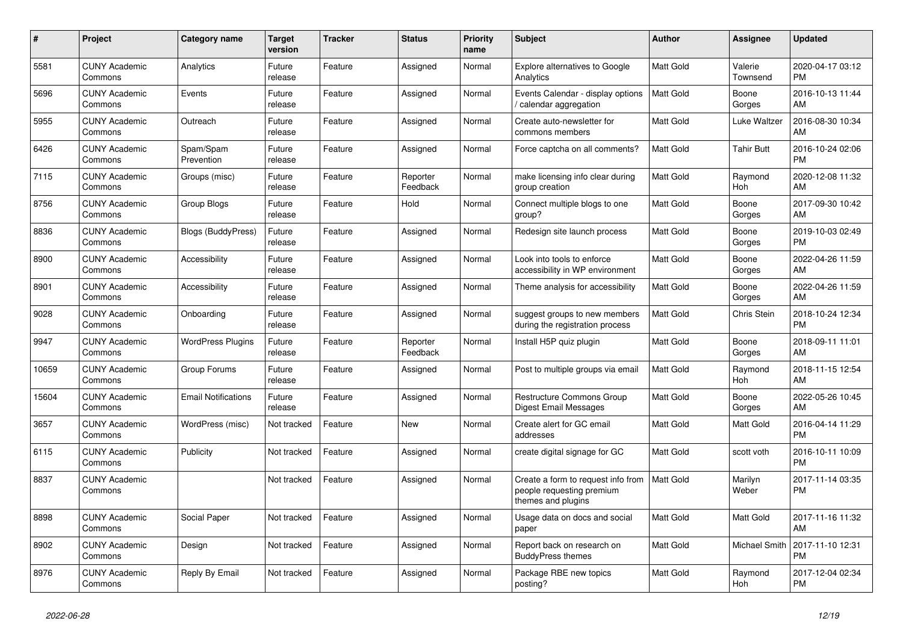| #     | Project                         | Category name              | <b>Target</b><br>version | <b>Tracker</b> | <b>Status</b>        | Priority<br>name | <b>Subject</b>                                                                        | <b>Author</b>    | <b>Assignee</b>      | <b>Updated</b>                |
|-------|---------------------------------|----------------------------|--------------------------|----------------|----------------------|------------------|---------------------------------------------------------------------------------------|------------------|----------------------|-------------------------------|
| 5581  | <b>CUNY Academic</b><br>Commons | Analytics                  | Future<br>release        | Feature        | Assigned             | Normal           | <b>Explore alternatives to Google</b><br>Analytics                                    | Matt Gold        | Valerie<br>Townsend  | 2020-04-17 03:12<br><b>PM</b> |
| 5696  | <b>CUNY Academic</b><br>Commons | Events                     | Future<br>release        | Feature        | Assigned             | Normal           | Events Calendar - display options<br>calendar aggregation                             | <b>Matt Gold</b> | Boone<br>Gorges      | 2016-10-13 11:44<br>AM        |
| 5955  | <b>CUNY Academic</b><br>Commons | Outreach                   | Future<br>release        | Feature        | Assigned             | Normal           | Create auto-newsletter for<br>commons members                                         | Matt Gold        | Luke Waltzer         | 2016-08-30 10:34<br>AM        |
| 6426  | <b>CUNY Academic</b><br>Commons | Spam/Spam<br>Prevention    | Future<br>release        | Feature        | Assigned             | Normal           | Force captcha on all comments?                                                        | <b>Matt Gold</b> | <b>Tahir Butt</b>    | 2016-10-24 02:06<br><b>PM</b> |
| 7115  | <b>CUNY Academic</b><br>Commons | Groups (misc)              | Future<br>release        | Feature        | Reporter<br>Feedback | Normal           | make licensing info clear during<br>group creation                                    | <b>Matt Gold</b> | Raymond<br>Hoh       | 2020-12-08 11:32<br>AM        |
| 8756  | <b>CUNY Academic</b><br>Commons | Group Blogs                | Future<br>release        | Feature        | Hold                 | Normal           | Connect multiple blogs to one<br>group?                                               | Matt Gold        | Boone<br>Gorges      | 2017-09-30 10:42<br>AM        |
| 8836  | <b>CUNY Academic</b><br>Commons | <b>Blogs (BuddyPress)</b>  | Future<br>release        | Feature        | Assigned             | Normal           | Redesign site launch process                                                          | <b>Matt Gold</b> | Boone<br>Gorges      | 2019-10-03 02:49<br><b>PM</b> |
| 8900  | <b>CUNY Academic</b><br>Commons | Accessibility              | Future<br>release        | Feature        | Assigned             | Normal           | Look into tools to enforce<br>accessibility in WP environment                         | <b>Matt Gold</b> | Boone<br>Gorges      | 2022-04-26 11:59<br>AM        |
| 8901  | <b>CUNY Academic</b><br>Commons | Accessibility              | Future<br>release        | Feature        | Assigned             | Normal           | Theme analysis for accessibility                                                      | Matt Gold        | Boone<br>Gorges      | 2022-04-26 11:59<br>AM        |
| 9028  | <b>CUNY Academic</b><br>Commons | Onboarding                 | Future<br>release        | Feature        | Assigned             | Normal           | suggest groups to new members<br>during the registration process                      | Matt Gold        | Chris Stein          | 2018-10-24 12:34<br><b>PM</b> |
| 9947  | <b>CUNY Academic</b><br>Commons | <b>WordPress Plugins</b>   | Future<br>release        | Feature        | Reporter<br>Feedback | Normal           | Install H5P quiz plugin                                                               | <b>Matt Gold</b> | Boone<br>Gorges      | 2018-09-11 11:01<br>AM        |
| 10659 | <b>CUNY Academic</b><br>Commons | Group Forums               | Future<br>release        | Feature        | Assigned             | Normal           | Post to multiple groups via email                                                     | <b>Matt Gold</b> | Raymond<br>Hoh       | 2018-11-15 12:54<br>AM        |
| 15604 | <b>CUNY Academic</b><br>Commons | <b>Email Notifications</b> | Future<br>release        | Feature        | Assigned             | Normal           | Restructure Commons Group<br>Digest Email Messages                                    | <b>Matt Gold</b> | Boone<br>Gorges      | 2022-05-26 10:45<br>AM        |
| 3657  | <b>CUNY Academic</b><br>Commons | WordPress (misc)           | Not tracked              | Feature        | <b>New</b>           | Normal           | Create alert for GC email<br>addresses                                                | <b>Matt Gold</b> | <b>Matt Gold</b>     | 2016-04-14 11:29<br><b>PM</b> |
| 6115  | <b>CUNY Academic</b><br>Commons | Publicity                  | Not tracked              | Feature        | Assigned             | Normal           | create digital signage for GC                                                         | Matt Gold        | scott voth           | 2016-10-11 10:09<br><b>PM</b> |
| 8837  | <b>CUNY Academic</b><br>Commons |                            | Not tracked              | Feature        | Assigned             | Normal           | Create a form to request info from<br>people requesting premium<br>themes and plugins | <b>Matt Gold</b> | Marilyn<br>Weber     | 2017-11-14 03:35<br><b>PM</b> |
| 8898  | <b>CUNY Academic</b><br>Commons | Social Paper               | Not tracked              | Feature        | Assigned             | Normal           | Usage data on docs and social<br>paper                                                | Matt Gold        | Matt Gold            | 2017-11-16 11:32<br>AM        |
| 8902  | <b>CUNY Academic</b><br>Commons | Design                     | Not tracked              | Feature        | Assigned             | Normal           | Report back on research on<br><b>BuddyPress themes</b>                                | <b>Matt Gold</b> | <b>Michael Smith</b> | 2017-11-10 12:31<br><b>PM</b> |
| 8976  | <b>CUNY Academic</b><br>Commons | Reply By Email             | Not tracked              | Feature        | Assigned             | Normal           | Package RBE new topics<br>posting?                                                    | <b>Matt Gold</b> | Raymond<br>Hoh       | 2017-12-04 02:34<br><b>PM</b> |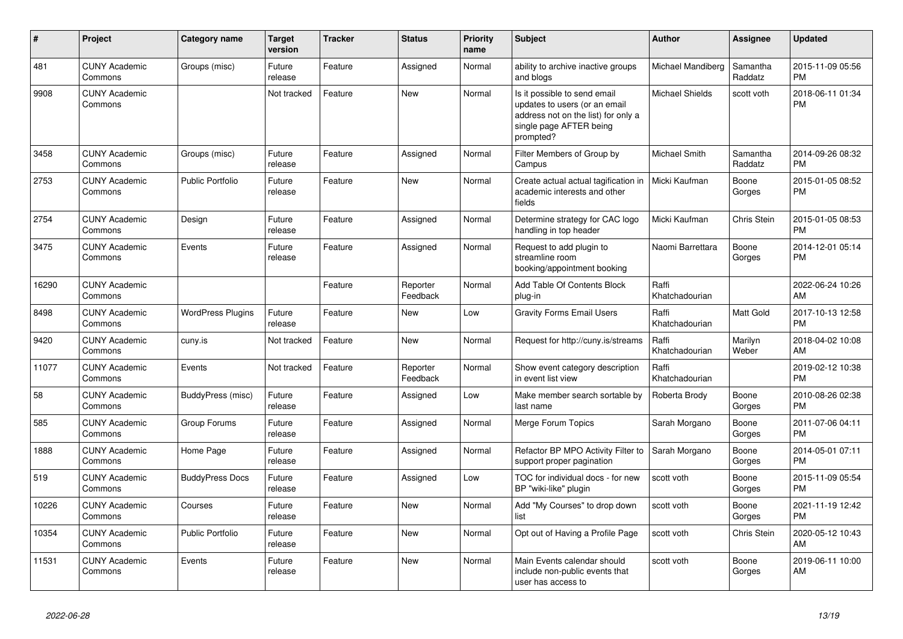| #     | <b>Project</b>                  | <b>Category name</b>     | <b>Target</b><br>version | <b>Tracker</b> | <b>Status</b>        | <b>Priority</b><br>name | <b>Subject</b>                                                                                                                               | <b>Author</b>           | Assignee            | <b>Updated</b>                |
|-------|---------------------------------|--------------------------|--------------------------|----------------|----------------------|-------------------------|----------------------------------------------------------------------------------------------------------------------------------------------|-------------------------|---------------------|-------------------------------|
| 481   | <b>CUNY Academic</b><br>Commons | Groups (misc)            | Future<br>release        | Feature        | Assigned             | Normal                  | ability to archive inactive groups<br>and blogs                                                                                              | Michael Mandiberg       | Samantha<br>Raddatz | 2015-11-09 05:56<br><b>PM</b> |
| 9908  | <b>CUNY Academic</b><br>Commons |                          | Not tracked              | Feature        | <b>New</b>           | Normal                  | Is it possible to send email<br>updates to users (or an email<br>address not on the list) for only a<br>single page AFTER being<br>prompted? | <b>Michael Shields</b>  | scott voth          | 2018-06-11 01:34<br><b>PM</b> |
| 3458  | <b>CUNY Academic</b><br>Commons | Groups (misc)            | Future<br>release        | Feature        | Assigned             | Normal                  | Filter Members of Group by<br>Campus                                                                                                         | Michael Smith           | Samantha<br>Raddatz | 2014-09-26 08:32<br><b>PM</b> |
| 2753  | <b>CUNY Academic</b><br>Commons | <b>Public Portfolio</b>  | Future<br>release        | Feature        | <b>New</b>           | Normal                  | Create actual actual tagification in<br>academic interests and other<br>fields                                                               | Micki Kaufman           | Boone<br>Gorges     | 2015-01-05 08:52<br><b>PM</b> |
| 2754  | <b>CUNY Academic</b><br>Commons | Design                   | Future<br>release        | Feature        | Assigned             | Normal                  | Determine strategy for CAC logo<br>handling in top header                                                                                    | Micki Kaufman           | Chris Stein         | 2015-01-05 08:53<br><b>PM</b> |
| 3475  | <b>CUNY Academic</b><br>Commons | Events                   | Future<br>release        | Feature        | Assigned             | Normal                  | Request to add plugin to<br>streamline room<br>booking/appointment booking                                                                   | Naomi Barrettara        | Boone<br>Gorges     | 2014-12-01 05:14<br><b>PM</b> |
| 16290 | <b>CUNY Academic</b><br>Commons |                          |                          | Feature        | Reporter<br>Feedback | Normal                  | Add Table Of Contents Block<br>plug-in                                                                                                       | Raffi<br>Khatchadourian |                     | 2022-06-24 10:26<br>AM        |
| 8498  | <b>CUNY Academic</b><br>Commons | <b>WordPress Plugins</b> | Future<br>release        | Feature        | <b>New</b>           | Low                     | <b>Gravity Forms Email Users</b>                                                                                                             | Raffi<br>Khatchadourian | Matt Gold           | 2017-10-13 12:58<br><b>PM</b> |
| 9420  | <b>CUNY Academic</b><br>Commons | cuny.is                  | Not tracked              | Feature        | New                  | Normal                  | Request for http://cuny.is/streams                                                                                                           | Raffi<br>Khatchadourian | Marilyn<br>Weber    | 2018-04-02 10:08<br>AM        |
| 11077 | <b>CUNY Academic</b><br>Commons | Events                   | Not tracked              | Feature        | Reporter<br>Feedback | Normal                  | Show event category description<br>in event list view                                                                                        | Raffi<br>Khatchadourian |                     | 2019-02-12 10:38<br><b>PM</b> |
| 58    | <b>CUNY Academic</b><br>Commons | BuddyPress (misc)        | Future<br>release        | Feature        | Assigned             | Low                     | Make member search sortable by<br>last name                                                                                                  | Roberta Brody           | Boone<br>Gorges     | 2010-08-26 02:38<br><b>PM</b> |
| 585   | <b>CUNY Academic</b><br>Commons | Group Forums             | Future<br>release        | Feature        | Assigned             | Normal                  | Merge Forum Topics                                                                                                                           | Sarah Morgano           | Boone<br>Gorges     | 2011-07-06 04:11<br><b>PM</b> |
| 1888  | <b>CUNY Academic</b><br>Commons | Home Page                | Future<br>release        | Feature        | Assigned             | Normal                  | Refactor BP MPO Activity Filter to<br>support proper pagination                                                                              | Sarah Morgano           | Boone<br>Gorges     | 2014-05-01 07:11<br><b>PM</b> |
| 519   | <b>CUNY Academic</b><br>Commons | <b>BuddyPress Docs</b>   | Future<br>release        | Feature        | Assigned             | Low                     | TOC for individual docs - for new<br>BP "wiki-like" plugin                                                                                   | scott voth              | Boone<br>Gorges     | 2015-11-09 05:54<br><b>PM</b> |
| 10226 | <b>CUNY Academic</b><br>Commons | Courses                  | Future<br>release        | Feature        | <b>New</b>           | Normal                  | Add "My Courses" to drop down<br>list                                                                                                        | scott voth              | Boone<br>Gorges     | 2021-11-19 12:42<br><b>PM</b> |
| 10354 | <b>CUNY Academic</b><br>Commons | <b>Public Portfolio</b>  | Future<br>release        | Feature        | New                  | Normal                  | Opt out of Having a Profile Page                                                                                                             | scott voth              | Chris Stein         | 2020-05-12 10:43<br>AM        |
| 11531 | <b>CUNY Academic</b><br>Commons | Events                   | Future<br>release        | Feature        | <b>New</b>           | Normal                  | Main Events calendar should<br>include non-public events that<br>user has access to                                                          | scott voth              | Boone<br>Gorges     | 2019-06-11 10:00<br>AM        |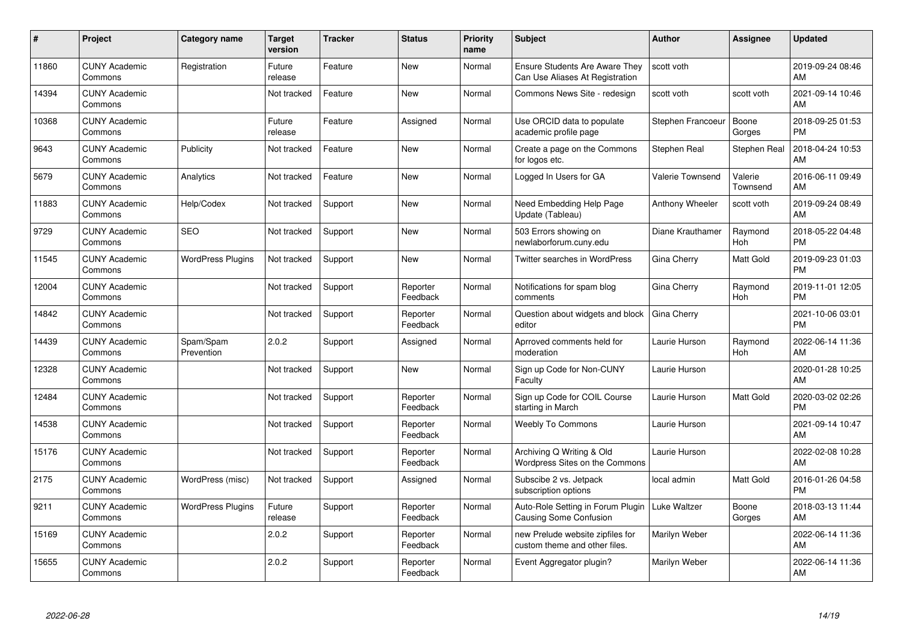| #     | <b>Project</b>                  | Category name            | <b>Target</b><br>version | <b>Tracker</b> | <b>Status</b>        | <b>Priority</b><br>name | Subject                                                                  | <b>Author</b>           | Assignee              | <b>Updated</b>                |
|-------|---------------------------------|--------------------------|--------------------------|----------------|----------------------|-------------------------|--------------------------------------------------------------------------|-------------------------|-----------------------|-------------------------------|
| 11860 | <b>CUNY Academic</b><br>Commons | Registration             | Future<br>release        | Feature        | <b>New</b>           | Normal                  | <b>Ensure Students Are Aware They</b><br>Can Use Aliases At Registration | scott voth              |                       | 2019-09-24 08:46<br>AM        |
| 14394 | <b>CUNY Academic</b><br>Commons |                          | Not tracked              | Feature        | <b>New</b>           | Normal                  | Commons News Site - redesign                                             | scott voth              | scott voth            | 2021-09-14 10:46<br>AM        |
| 10368 | <b>CUNY Academic</b><br>Commons |                          | Future<br>release        | Feature        | Assigned             | Normal                  | Use ORCID data to populate<br>academic profile page                      | Stephen Francoeur       | Boone<br>Gorges       | 2018-09-25 01:53<br><b>PM</b> |
| 9643  | <b>CUNY Academic</b><br>Commons | Publicity                | Not tracked              | Feature        | <b>New</b>           | Normal                  | Create a page on the Commons<br>for logos etc.                           | Stephen Real            | Stephen Real          | 2018-04-24 10:53<br>AM        |
| 5679  | <b>CUNY Academic</b><br>Commons | Analytics                | Not tracked              | Feature        | <b>New</b>           | Normal                  | Logged In Users for GA                                                   | <b>Valerie Townsend</b> | Valerie<br>Townsend   | 2016-06-11 09:49<br>AM        |
| 11883 | <b>CUNY Academic</b><br>Commons | Help/Codex               | Not tracked              | Support        | <b>New</b>           | Normal                  | Need Embedding Help Page<br>Update (Tableau)                             | Anthony Wheeler         | scott voth            | 2019-09-24 08:49<br>AM        |
| 9729  | <b>CUNY Academic</b><br>Commons | <b>SEO</b>               | Not tracked              | Support        | <b>New</b>           | Normal                  | 503 Errors showing on<br>newlaborforum.cuny.edu                          | Diane Krauthamer        | Raymond<br><b>Hoh</b> | 2018-05-22 04:48<br><b>PM</b> |
| 11545 | <b>CUNY Academic</b><br>Commons | <b>WordPress Plugins</b> | Not tracked              | Support        | New                  | Normal                  | <b>Twitter searches in WordPress</b>                                     | Gina Cherry             | <b>Matt Gold</b>      | 2019-09-23 01:03<br><b>PM</b> |
| 12004 | <b>CUNY Academic</b><br>Commons |                          | Not tracked              | Support        | Reporter<br>Feedback | Normal                  | Notifications for spam blog<br>comments                                  | Gina Cherry             | Raymond<br>Hoh        | 2019-11-01 12:05<br><b>PM</b> |
| 14842 | <b>CUNY Academic</b><br>Commons |                          | Not tracked              | Support        | Reporter<br>Feedback | Normal                  | Question about widgets and block<br>editor                               | Gina Cherry             |                       | 2021-10-06 03:01<br><b>PM</b> |
| 14439 | <b>CUNY Academic</b><br>Commons | Spam/Spam<br>Prevention  | 2.0.2                    | Support        | Assigned             | Normal                  | Aprroved comments held for<br>moderation                                 | Laurie Hurson           | Raymond<br>Hoh        | 2022-06-14 11:36<br>AM        |
| 12328 | <b>CUNY Academic</b><br>Commons |                          | Not tracked              | Support        | New                  | Normal                  | Sign up Code for Non-CUNY<br>Faculty                                     | Laurie Hurson           |                       | 2020-01-28 10:25<br>AM        |
| 12484 | <b>CUNY Academic</b><br>Commons |                          | Not tracked              | Support        | Reporter<br>Feedback | Normal                  | Sign up Code for COIL Course<br>starting in March                        | Laurie Hurson           | Matt Gold             | 2020-03-02 02:26<br><b>PM</b> |
| 14538 | <b>CUNY Academic</b><br>Commons |                          | Not tracked              | Support        | Reporter<br>Feedback | Normal                  | <b>Weebly To Commons</b>                                                 | Laurie Hurson           |                       | 2021-09-14 10:47<br>AM        |
| 15176 | <b>CUNY Academic</b><br>Commons |                          | Not tracked              | Support        | Reporter<br>Feedback | Normal                  | Archiving Q Writing & Old<br>Wordpress Sites on the Commons              | Laurie Hurson           |                       | 2022-02-08 10:28<br>AM        |
| 2175  | <b>CUNY Academic</b><br>Commons | WordPress (misc)         | Not tracked              | Support        | Assigned             | Normal                  | Subscibe 2 vs. Jetpack<br>subscription options                           | local admin             | <b>Matt Gold</b>      | 2016-01-26 04:58<br><b>PM</b> |
| 9211  | <b>CUNY Academic</b><br>Commons | <b>WordPress Plugins</b> | Future<br>release        | Support        | Reporter<br>Feedback | Normal                  | Auto-Role Setting in Forum Plugin<br>Causing Some Confusion              | Luke Waltzer            | Boone<br>Gorges       | 2018-03-13 11:44<br>AM        |
| 15169 | <b>CUNY Academic</b><br>Commons |                          | 2.0.2                    | Support        | Reporter<br>Feedback | Normal                  | new Prelude website zipfiles for<br>custom theme and other files.        | Marilyn Weber           |                       | 2022-06-14 11:36<br>AM        |
| 15655 | <b>CUNY Academic</b><br>Commons |                          | 2.0.2                    | Support        | Reporter<br>Feedback | Normal                  | Event Aggregator plugin?                                                 | Marilyn Weber           |                       | 2022-06-14 11:36<br>AM        |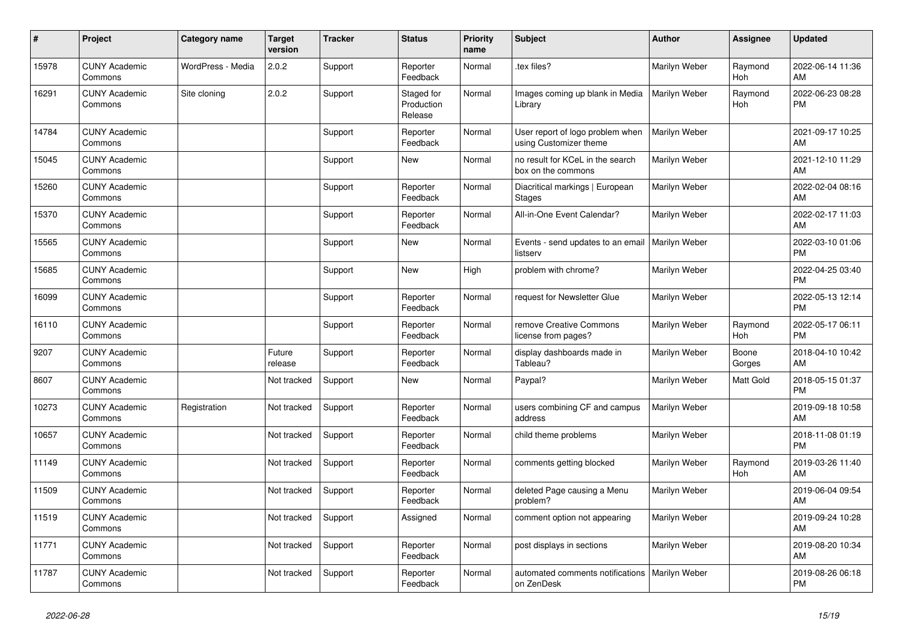| #     | Project                         | <b>Category name</b> | <b>Target</b><br>version | Tracker | <b>Status</b>                       | <b>Priority</b><br>name | <b>Subject</b>                                             | <b>Author</b> | <b>Assignee</b> | <b>Updated</b>                |
|-------|---------------------------------|----------------------|--------------------------|---------|-------------------------------------|-------------------------|------------------------------------------------------------|---------------|-----------------|-------------------------------|
| 15978 | <b>CUNY Academic</b><br>Commons | WordPress - Media    | 2.0.2                    | Support | Reporter<br>Feedback                | Normal                  | tex files?                                                 | Marilyn Weber | Raymond<br>Hoh  | 2022-06-14 11:36<br>AM        |
| 16291 | <b>CUNY Academic</b><br>Commons | Site cloning         | 2.0.2                    | Support | Staged for<br>Production<br>Release | Normal                  | Images coming up blank in Media<br>Library                 | Marilyn Weber | Raymond<br>Hoh  | 2022-06-23 08:28<br><b>PM</b> |
| 14784 | <b>CUNY Academic</b><br>Commons |                      |                          | Support | Reporter<br>Feedback                | Normal                  | User report of logo problem when<br>using Customizer theme | Marilyn Weber |                 | 2021-09-17 10:25<br>AM        |
| 15045 | <b>CUNY Academic</b><br>Commons |                      |                          | Support | <b>New</b>                          | Normal                  | no result for KCeL in the search<br>box on the commons     | Marilyn Weber |                 | 2021-12-10 11:29<br>AM        |
| 15260 | <b>CUNY Academic</b><br>Commons |                      |                          | Support | Reporter<br>Feedback                | Normal                  | Diacritical markings   European<br><b>Stages</b>           | Marilyn Weber |                 | 2022-02-04 08:16<br>AM        |
| 15370 | <b>CUNY Academic</b><br>Commons |                      |                          | Support | Reporter<br>Feedback                | Normal                  | All-in-One Event Calendar?                                 | Marilyn Weber |                 | 2022-02-17 11:03<br>AM        |
| 15565 | <b>CUNY Academic</b><br>Commons |                      |                          | Support | <b>New</b>                          | Normal                  | Events - send updates to an emai<br>listserv               | Marilyn Weber |                 | 2022-03-10 01:06<br><b>PM</b> |
| 15685 | <b>CUNY Academic</b><br>Commons |                      |                          | Support | New                                 | High                    | problem with chrome?                                       | Marilyn Weber |                 | 2022-04-25 03:40<br><b>PM</b> |
| 16099 | <b>CUNY Academic</b><br>Commons |                      |                          | Support | Reporter<br>Feedback                | Normal                  | request for Newsletter Glue                                | Marilyn Weber |                 | 2022-05-13 12:14<br><b>PM</b> |
| 16110 | <b>CUNY Academic</b><br>Commons |                      |                          | Support | Reporter<br>Feedback                | Normal                  | remove Creative Commons<br>license from pages?             | Marilyn Weber | Raymond<br>Hoh  | 2022-05-17 06:11<br><b>PM</b> |
| 9207  | <b>CUNY Academic</b><br>Commons |                      | Future<br>release        | Support | Reporter<br>Feedback                | Normal                  | display dashboards made in<br>Tableau?                     | Marilyn Weber | Boone<br>Gorges | 2018-04-10 10:42<br>AM        |
| 8607  | <b>CUNY Academic</b><br>Commons |                      | Not tracked              | Support | New                                 | Normal                  | Paypal?                                                    | Marilyn Weber | Matt Gold       | 2018-05-15 01:37<br><b>PM</b> |
| 10273 | <b>CUNY Academic</b><br>Commons | Registration         | Not tracked              | Support | Reporter<br>Feedback                | Normal                  | users combining CF and campus<br>address                   | Marilyn Weber |                 | 2019-09-18 10:58<br>AM        |
| 10657 | <b>CUNY Academic</b><br>Commons |                      | Not tracked              | Support | Reporter<br>Feedback                | Normal                  | child theme problems                                       | Marilyn Weber |                 | 2018-11-08 01:19<br><b>PM</b> |
| 11149 | <b>CUNY Academic</b><br>Commons |                      | Not tracked              | Support | Reporter<br>Feedback                | Normal                  | comments getting blocked                                   | Marilyn Weber | Raymond<br>Hoh  | 2019-03-26 11:40<br>AM        |
| 11509 | <b>CUNY Academic</b><br>Commons |                      | Not tracked              | Support | Reporter<br>Feedback                | Normal                  | deleted Page causing a Menu<br>problem?                    | Marilyn Weber |                 | 2019-06-04 09:54<br>AM        |
| 11519 | <b>CUNY Academic</b><br>Commons |                      | Not tracked              | Support | Assigned                            | Normal                  | comment option not appearing                               | Marilyn Weber |                 | 2019-09-24 10:28<br>AM        |
| 11771 | <b>CUNY Academic</b><br>Commons |                      | Not tracked              | Support | Reporter<br>Feedback                | Normal                  | post displays in sections                                  | Marilyn Weber |                 | 2019-08-20 10:34<br>AM        |
| 11787 | <b>CUNY Academic</b><br>Commons |                      | Not tracked              | Support | Reporter<br>Feedback                | Normal                  | automated comments notifications<br>on ZenDesk             | Marilyn Weber |                 | 2019-08-26 06:18<br><b>PM</b> |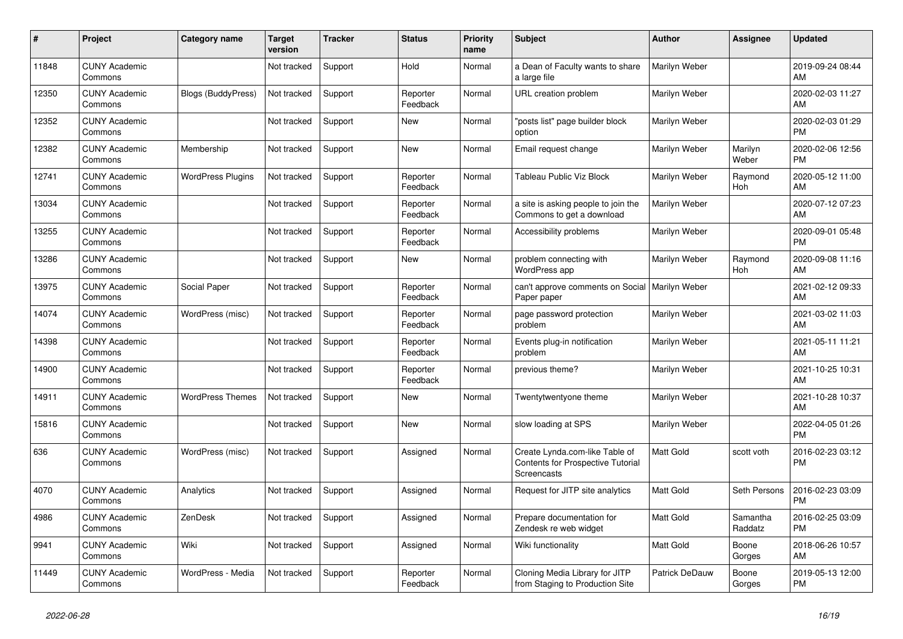| #     | Project                         | <b>Category name</b>      | Target<br>version | <b>Tracker</b> | <b>Status</b>        | <b>Priority</b><br>name | <b>Subject</b>                                                                            | <b>Author</b>    | <b>Assignee</b>     | <b>Updated</b>                |
|-------|---------------------------------|---------------------------|-------------------|----------------|----------------------|-------------------------|-------------------------------------------------------------------------------------------|------------------|---------------------|-------------------------------|
| 11848 | <b>CUNY Academic</b><br>Commons |                           | Not tracked       | Support        | Hold                 | Normal                  | a Dean of Faculty wants to share<br>a large file                                          | Marilyn Weber    |                     | 2019-09-24 08:44<br>AM        |
| 12350 | <b>CUNY Academic</b><br>Commons | <b>Blogs (BuddyPress)</b> | Not tracked       | Support        | Reporter<br>Feedback | Normal                  | URL creation problem                                                                      | Marilyn Weber    |                     | 2020-02-03 11:27<br>AM        |
| 12352 | <b>CUNY Academic</b><br>Commons |                           | Not tracked       | Support        | <b>New</b>           | Normal                  | "posts list" page builder block<br>option                                                 | Marilyn Weber    |                     | 2020-02-03 01:29<br><b>PM</b> |
| 12382 | <b>CUNY Academic</b><br>Commons | Membership                | Not tracked       | Support        | <b>New</b>           | Normal                  | Email request change                                                                      | Marilyn Weber    | Marilyn<br>Weber    | 2020-02-06 12:56<br><b>PM</b> |
| 12741 | <b>CUNY Academic</b><br>Commons | <b>WordPress Plugins</b>  | Not tracked       | Support        | Reporter<br>Feedback | Normal                  | Tableau Public Viz Block                                                                  | Marilyn Weber    | Raymond<br>Hoh      | 2020-05-12 11:00<br>AM        |
| 13034 | <b>CUNY Academic</b><br>Commons |                           | Not tracked       | Support        | Reporter<br>Feedback | Normal                  | a site is asking people to join the<br>Commons to get a download                          | Marilyn Weber    |                     | 2020-07-12 07:23<br>AM        |
| 13255 | <b>CUNY Academic</b><br>Commons |                           | Not tracked       | Support        | Reporter<br>Feedback | Normal                  | Accessibility problems                                                                    | Marilyn Weber    |                     | 2020-09-01 05:48<br><b>PM</b> |
| 13286 | <b>CUNY Academic</b><br>Commons |                           | Not tracked       | Support        | <b>New</b>           | Normal                  | problem connecting with<br>WordPress app                                                  | Marilyn Weber    | Raymond<br>Hoh      | 2020-09-08 11:16<br>AM        |
| 13975 | <b>CUNY Academic</b><br>Commons | Social Paper              | Not tracked       | Support        | Reporter<br>Feedback | Normal                  | can't approve comments on Social   Marilyn Weber<br>Paper paper                           |                  |                     | 2021-02-12 09:33<br>AM        |
| 14074 | <b>CUNY Academic</b><br>Commons | WordPress (misc)          | Not tracked       | Support        | Reporter<br>Feedback | Normal                  | page password protection<br>problem                                                       | Marilyn Weber    |                     | 2021-03-02 11:03<br>AM        |
| 14398 | <b>CUNY Academic</b><br>Commons |                           | Not tracked       | Support        | Reporter<br>Feedback | Normal                  | Events plug-in notification<br>problem                                                    | Marilyn Weber    |                     | 2021-05-11 11:21<br>AM        |
| 14900 | <b>CUNY Academic</b><br>Commons |                           | Not tracked       | Support        | Reporter<br>Feedback | Normal                  | previous theme?                                                                           | Marilyn Weber    |                     | 2021-10-25 10:31<br>AM        |
| 14911 | <b>CUNY Academic</b><br>Commons | <b>WordPress Themes</b>   | Not tracked       | Support        | <b>New</b>           | Normal                  | Twentytwentyone theme                                                                     | Marilyn Weber    |                     | 2021-10-28 10:37<br>AM        |
| 15816 | <b>CUNY Academic</b><br>Commons |                           | Not tracked       | Support        | <b>New</b>           | Normal                  | slow loading at SPS                                                                       | Marilyn Weber    |                     | 2022-04-05 01:26<br><b>PM</b> |
| 636   | <b>CUNY Academic</b><br>Commons | WordPress (misc)          | Not tracked       | Support        | Assigned             | Normal                  | Create Lynda.com-like Table of<br><b>Contents for Prospective Tutorial</b><br>Screencasts | Matt Gold        | scott voth          | 2016-02-23 03:12<br><b>PM</b> |
| 4070  | <b>CUNY Academic</b><br>Commons | Analytics                 | Not tracked       | Support        | Assigned             | Normal                  | Request for JITP site analytics                                                           | Matt Gold        | Seth Persons        | 2016-02-23 03:09<br><b>PM</b> |
| 4986  | <b>CUNY Academic</b><br>Commons | ZenDesk                   | Not tracked       | Support        | Assigned             | Normal                  | Prepare documentation for<br>Zendesk re web widget                                        | <b>Matt Gold</b> | Samantha<br>Raddatz | 2016-02-25 03:09<br><b>PM</b> |
| 9941  | <b>CUNY Academic</b><br>Commons | Wiki                      | Not tracked       | Support        | Assigned             | Normal                  | Wiki functionality                                                                        | <b>Matt Gold</b> | Boone<br>Gorges     | 2018-06-26 10:57<br>AM        |
| 11449 | <b>CUNY Academic</b><br>Commons | WordPress - Media         | Not tracked       | Support        | Reporter<br>Feedback | Normal                  | Cloning Media Library for JITP<br>from Staging to Production Site                         | Patrick DeDauw   | Boone<br>Gorges     | 2019-05-13 12:00<br><b>PM</b> |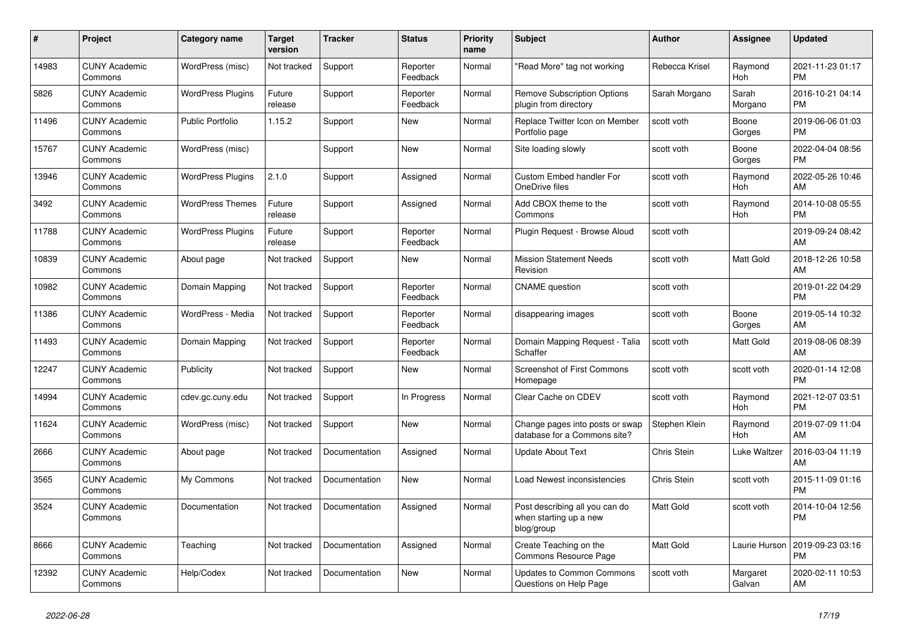| #     | Project                         | Category name            | Target<br>version | <b>Tracker</b> | <b>Status</b>        | <b>Priority</b><br>name | <b>Subject</b>                                                         | <b>Author</b>    | <b>Assignee</b>       | <b>Updated</b>                |
|-------|---------------------------------|--------------------------|-------------------|----------------|----------------------|-------------------------|------------------------------------------------------------------------|------------------|-----------------------|-------------------------------|
| 14983 | <b>CUNY Academic</b><br>Commons | WordPress (misc)         | Not tracked       | Support        | Reporter<br>Feedback | Normal                  | 'Read More" tag not working                                            | Rebecca Krisel   | Raymond<br>Hoh        | 2021-11-23 01:17<br><b>PM</b> |
| 5826  | <b>CUNY Academic</b><br>Commons | <b>WordPress Plugins</b> | Future<br>release | Support        | Reporter<br>Feedback | Normal                  | <b>Remove Subscription Options</b><br>plugin from directory            | Sarah Morgano    | Sarah<br>Morgano      | 2016-10-21 04:14<br><b>PM</b> |
| 11496 | <b>CUNY Academic</b><br>Commons | <b>Public Portfolio</b>  | 1.15.2            | Support        | <b>New</b>           | Normal                  | Replace Twitter Icon on Member<br>Portfolio page                       | scott voth       | Boone<br>Gorges       | 2019-06-06 01:03<br><b>PM</b> |
| 15767 | <b>CUNY Academic</b><br>Commons | WordPress (misc)         |                   | Support        | <b>New</b>           | Normal                  | Site loading slowly                                                    | scott voth       | Boone<br>Gorges       | 2022-04-04 08:56<br><b>PM</b> |
| 13946 | <b>CUNY Academic</b><br>Commons | <b>WordPress Plugins</b> | 2.1.0             | Support        | Assigned             | Normal                  | <b>Custom Embed handler For</b><br>OneDrive files                      | scott voth       | Raymond<br>Hoh        | 2022-05-26 10:46<br>AM        |
| 3492  | <b>CUNY Academic</b><br>Commons | <b>WordPress Themes</b>  | Future<br>release | Support        | Assigned             | Normal                  | Add CBOX theme to the<br>Commons                                       | scott voth       | Raymond<br>Hoh        | 2014-10-08 05:55<br><b>PM</b> |
| 11788 | <b>CUNY Academic</b><br>Commons | <b>WordPress Plugins</b> | Future<br>release | Support        | Reporter<br>Feedback | Normal                  | Plugin Request - Browse Aloud                                          | scott voth       |                       | 2019-09-24 08:42<br>AM        |
| 10839 | <b>CUNY Academic</b><br>Commons | About page               | Not tracked       | Support        | <b>New</b>           | Normal                  | <b>Mission Statement Needs</b><br>Revision                             | scott voth       | Matt Gold             | 2018-12-26 10:58<br>AM        |
| 10982 | <b>CUNY Academic</b><br>Commons | Domain Mapping           | Not tracked       | Support        | Reporter<br>Feedback | Normal                  | <b>CNAME</b> question                                                  | scott voth       |                       | 2019-01-22 04:29<br><b>PM</b> |
| 11386 | <b>CUNY Academic</b><br>Commons | WordPress - Media        | Not tracked       | Support        | Reporter<br>Feedback | Normal                  | disappearing images                                                    | scott voth       | Boone<br>Gorges       | 2019-05-14 10:32<br>AM        |
| 11493 | <b>CUNY Academic</b><br>Commons | Domain Mapping           | Not tracked       | Support        | Reporter<br>Feedback | Normal                  | Domain Mapping Request - Talia<br>Schaffer                             | scott voth       | Matt Gold             | 2019-08-06 08:39<br>AM        |
| 12247 | <b>CUNY Academic</b><br>Commons | Publicity                | Not tracked       | Support        | <b>New</b>           | Normal                  | <b>Screenshot of First Commons</b><br>Homepage                         | scott voth       | scott voth            | 2020-01-14 12:08<br><b>PM</b> |
| 14994 | <b>CUNY Academic</b><br>Commons | cdev.gc.cuny.edu         | Not tracked       | Support        | In Progress          | Normal                  | Clear Cache on CDEV                                                    | scott voth       | Raymond<br><b>Hoh</b> | 2021-12-07 03:51<br><b>PM</b> |
| 11624 | <b>CUNY Academic</b><br>Commons | WordPress (misc)         | Not tracked       | Support        | <b>New</b>           | Normal                  | Change pages into posts or swap<br>database for a Commons site?        | Stephen Klein    | Raymond<br>Hoh        | 2019-07-09 11:04<br>AM        |
| 2666  | <b>CUNY Academic</b><br>Commons | About page               | Not tracked       | Documentation  | Assigned             | Normal                  | <b>Update About Text</b>                                               | Chris Stein      | Luke Waltzer          | 2016-03-04 11:19<br>AM        |
| 3565  | <b>CUNY Academic</b><br>Commons | My Commons               | Not tracked       | Documentation  | New                  | Normal                  | Load Newest inconsistencies                                            | Chris Stein      | scott voth            | 2015-11-09 01:16<br><b>PM</b> |
| 3524  | <b>CUNY Academic</b><br>Commons | Documentation            | Not tracked       | Documentation  | Assigned             | Normal                  | Post describing all you can do<br>when starting up a new<br>blog/group | <b>Matt Gold</b> | scott voth            | 2014-10-04 12:56<br><b>PM</b> |
| 8666  | <b>CUNY Academic</b><br>Commons | Teaching                 | Not tracked       | Documentation  | Assigned             | Normal                  | Create Teaching on the<br>Commons Resource Page                        | <b>Matt Gold</b> | Laurie Hurson         | 2019-09-23 03:16<br><b>PM</b> |
| 12392 | <b>CUNY Academic</b><br>Commons | Help/Codex               | Not tracked       | Documentation  | <b>New</b>           | Normal                  | <b>Updates to Common Commons</b><br>Questions on Help Page             | scott voth       | Margaret<br>Galvan    | 2020-02-11 10:53<br>AM        |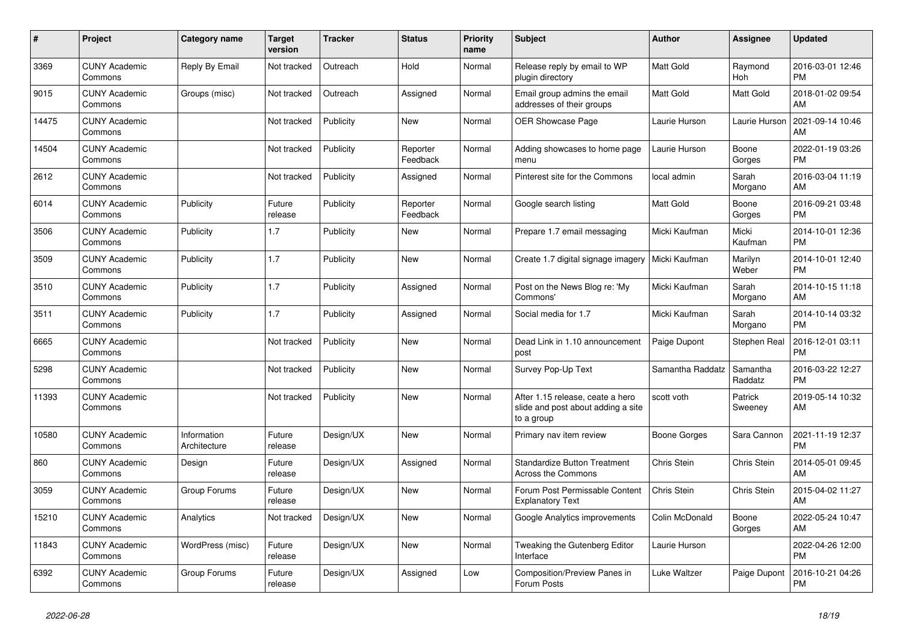| #     | Project                         | Category name               | <b>Target</b><br>version | <b>Tracker</b> | <b>Status</b>        | Priority<br>name | <b>Subject</b>                                                                       | <b>Author</b>      | Assignee            | <b>Updated</b>                |
|-------|---------------------------------|-----------------------------|--------------------------|----------------|----------------------|------------------|--------------------------------------------------------------------------------------|--------------------|---------------------|-------------------------------|
| 3369  | <b>CUNY Academic</b><br>Commons | Reply By Email              | Not tracked              | Outreach       | Hold                 | Normal           | Release reply by email to WP<br>plugin directory                                     | <b>Matt Gold</b>   | Raymond<br>Hoh      | 2016-03-01 12:46<br><b>PM</b> |
| 9015  | <b>CUNY Academic</b><br>Commons | Groups (misc)               | Not tracked              | Outreach       | Assigned             | Normal           | Email group admins the email<br>addresses of their groups                            | Matt Gold          | <b>Matt Gold</b>    | 2018-01-02 09:54<br>AM        |
| 14475 | <b>CUNY Academic</b><br>Commons |                             | Not tracked              | Publicity      | New                  | Normal           | <b>OER Showcase Page</b>                                                             | Laurie Hurson      | Laurie Hurson       | 2021-09-14 10:46<br>AM        |
| 14504 | <b>CUNY Academic</b><br>Commons |                             | Not tracked              | Publicity      | Reporter<br>Feedback | Normal           | Adding showcases to home page<br>menu                                                | Laurie Hurson      | Boone<br>Gorges     | 2022-01-19 03:26<br><b>PM</b> |
| 2612  | <b>CUNY Academic</b><br>Commons |                             | Not tracked              | Publicity      | Assigned             | Normal           | Pinterest site for the Commons                                                       | local admin        | Sarah<br>Morgano    | 2016-03-04 11:19<br>AM        |
| 6014  | <b>CUNY Academic</b><br>Commons | Publicity                   | Future<br>release        | Publicity      | Reporter<br>Feedback | Normal           | Google search listing                                                                | Matt Gold          | Boone<br>Gorges     | 2016-09-21 03:48<br><b>PM</b> |
| 3506  | <b>CUNY Academic</b><br>Commons | Publicity                   | 1.7                      | Publicity      | <b>New</b>           | Normal           | Prepare 1.7 email messaging                                                          | Micki Kaufman      | Micki<br>Kaufman    | 2014-10-01 12:36<br><b>PM</b> |
| 3509  | <b>CUNY Academic</b><br>Commons | Publicity                   | 1.7                      | Publicity      | New                  | Normal           | Create 1.7 digital signage imagery                                                   | Micki Kaufman      | Marilyn<br>Weber    | 2014-10-01 12:40<br><b>PM</b> |
| 3510  | <b>CUNY Academic</b><br>Commons | Publicity                   | 1.7                      | Publicity      | Assigned             | Normal           | Post on the News Blog re: 'My<br>Commons'                                            | Micki Kaufman      | Sarah<br>Morgano    | 2014-10-15 11:18<br>AM        |
| 3511  | <b>CUNY Academic</b><br>Commons | Publicity                   | 1.7                      | Publicity      | Assigned             | Normal           | Social media for 1.7                                                                 | Micki Kaufman      | Sarah<br>Morgano    | 2014-10-14 03:32<br><b>PM</b> |
| 6665  | <b>CUNY Academic</b><br>Commons |                             | Not tracked              | Publicity      | New                  | Normal           | Dead Link in 1.10 announcement<br>post                                               | Paige Dupont       | Stephen Real        | 2016-12-01 03:11<br><b>PM</b> |
| 5298  | <b>CUNY Academic</b><br>Commons |                             | Not tracked              | Publicity      | <b>New</b>           | Normal           | Survey Pop-Up Text                                                                   | Samantha Raddatz   | Samantha<br>Raddatz | 2016-03-22 12:27<br><b>PM</b> |
| 11393 | <b>CUNY Academic</b><br>Commons |                             | Not tracked              | Publicity      | <b>New</b>           | Normal           | After 1.15 release, ceate a hero<br>slide and post about adding a site<br>to a group | scott voth         | Patrick<br>Sweeney  | 2019-05-14 10:32<br>AM        |
| 10580 | <b>CUNY Academic</b><br>Commons | Information<br>Architecture | Future<br>release        | Design/UX      | New                  | Normal           | Primary nav item review                                                              | Boone Gorges       | Sara Cannon         | 2021-11-19 12:37<br><b>PM</b> |
| 860   | <b>CUNY Academic</b><br>Commons | Design                      | Future<br>release        | Design/UX      | Assigned             | Normal           | <b>Standardize Button Treatment</b><br>Across the Commons                            | Chris Stein        | Chris Stein         | 2014-05-01 09:45<br>AM        |
| 3059  | <b>CUNY Academic</b><br>Commons | Group Forums                | Future<br>release        | Design/UX      | <b>New</b>           | Normal           | Forum Post Permissable Content<br><b>Explanatory Text</b>                            | <b>Chris Stein</b> | Chris Stein         | 2015-04-02 11:27<br>AM        |
| 15210 | <b>CUNY Academic</b><br>Commons | Analytics                   | Not tracked              | Design/UX      | <b>New</b>           | Normal           | Google Analytics improvements                                                        | Colin McDonald     | Boone<br>Gorges     | 2022-05-24 10:47<br>AM        |
| 11843 | <b>CUNY Academic</b><br>Commons | WordPress (misc)            | Future<br>release        | Design/UX      | <b>New</b>           | Normal           | Tweaking the Gutenberg Editor<br>Interface                                           | Laurie Hurson      |                     | 2022-04-26 12:00<br><b>PM</b> |
| 6392  | <b>CUNY Academic</b><br>Commons | Group Forums                | Future<br>release        | Design/UX      | Assigned             | Low              | <b>Composition/Preview Panes in</b><br>Forum Posts                                   | Luke Waltzer       | Paige Dupont        | 2016-10-21 04:26<br><b>PM</b> |